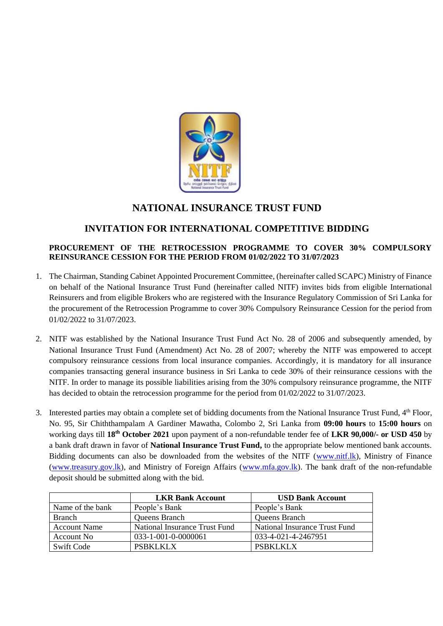

# **NATIONAL INSURANCE TRUST FUND**

# **INVITATION FOR INTERNATIONAL COMPETITIVE BIDDING**

# **PROCUREMENT OF THE RETROCESSION PROGRAMME TO COVER 30% COMPULSORY REINSURANCE CESSION FOR THE PERIOD FROM 01/02/2022 TO 31/07/2023**

- 1. The Chairman, Standing Cabinet Appointed Procurement Committee, (hereinafter called SCAPC) Ministry of Finance on behalf of the National Insurance Trust Fund (hereinafter called NITF) invites bids from eligible International Reinsurers and from eligible Brokers who are registered with the Insurance Regulatory Commission of Sri Lanka for the procurement of the Retrocession Programme to cover 30% Compulsory Reinsurance Cession for the period from 01/02/2022 to 31/07/2023.
- 2. NITF was established by the National Insurance Trust Fund Act No. 28 of 2006 and subsequently amended, by National Insurance Trust Fund (Amendment) Act No. 28 of 2007; whereby the NITF was empowered to accept compulsory reinsurance cessions from local insurance companies. Accordingly, it is mandatory for all insurance companies transacting general insurance business in Sri Lanka to cede 30% of their reinsurance cessions with the NITF. In order to manage its possible liabilities arising from the 30% compulsory reinsurance programme, the NITF has decided to obtain the retrocession programme for the period from 01/02/2022 to 31/07/2023.
- 3. Interested parties may obtain a complete set of bidding documents from the National Insurance Trust Fund, 4<sup>th</sup> Floor, No. 95, Sir Chiththampalam A Gardiner Mawatha, Colombo 2, Sri Lanka from **09:00 hours** to **15:00 hours** on working days till **18 th October 2021** upon payment of a non-refundable tender fee of **LKR 90,000/- or USD 450** by a bank draft drawn in favor of **National Insurance Trust Fund,** to the appropriate below mentioned bank accounts. Bidding documents can also be downloaded from the websites of the NITF [\(www.nitf.lk\)](http://www.nitf.lk/), Ministry of Finance [\(www.treasury.gov.lk\)](http://www.treasury.gov.lk/), and Ministry of Foreign Affairs [\(www.mfa.gov.lk\)](http://www.mfa.gov.lk/). The bank draft of the non-refundable deposit should be submitted along with the bid.

|                     | <b>LKR Bank Account</b>       | <b>USD Bank Account</b>       |
|---------------------|-------------------------------|-------------------------------|
| Name of the bank    | People's Bank                 | People's Bank                 |
| <b>Branch</b>       | Queens Branch                 | Queens Branch                 |
| <b>Account Name</b> | National Insurance Trust Fund | National Insurance Trust Fund |
| Account No.         | 033-1-001-0-0000061           | 033-4-021-4-2467951           |
| Swift Code          | <b>PSBKLKLX</b>               | PSBKLKLX                      |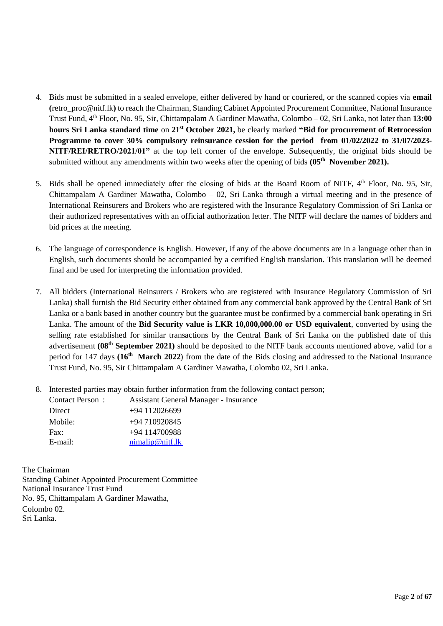- 4. Bids must be submitted in a sealed envelope, either delivered by hand or couriered, or the scanned copies via **email (**[retro\\_proc@nitf.lk](mailto:retro_proc@nitf.lk)**)** to reach the Chairman, Standing Cabinet Appointed Procurement Committee, National Insurance Trust Fund, 4th Floor, No. 95, Sir, Chittampalam A Gardiner Mawatha, Colombo – 02, Sri Lanka, not later than **13:00 hours Sri Lanka standard time** on **21st October 2021,** be clearly marked **"Bid for procurement of Retrocession Programme to cover 30% compulsory reinsurance cession for the period from 01/02/2022 to 31/07/2023- NITF/REI/RETRO/2021/01"** at the top left corner of the envelope. Subsequently, the original bids should be submitted without any amendments within two weeks after the opening of bids **(05th November 2021).**
- 5. Bids shall be opened immediately after the closing of bids at the Board Room of NITF, 4<sup>th</sup> Floor, No. 95, Sir, Chittampalam A Gardiner Mawatha, Colombo – 02, Sri Lanka through a virtual meeting and in the presence of International Reinsurers and Brokers who are registered with the Insurance Regulatory Commission of Sri Lanka or their authorized representatives with an official authorization letter. The NITF will declare the names of bidders and bid prices at the meeting.
- 6. The language of correspondence is English. However, if any of the above documents are in a language other than in English, such documents should be accompanied by a certified English translation. This translation will be deemed final and be used for interpreting the information provided.
- 7. All bidders (International Reinsurers / Brokers who are registered with Insurance Regulatory Commission of Sri Lanka) shall furnish the Bid Security either obtained from any commercial bank approved by the Central Bank of Sri Lanka or a bank based in another country but the guarantee must be confirmed by a commercial bank operating in Sri Lanka. The amount of the **Bid Security value is LKR 10,000,000.00 or USD equivalent**, converted by using the selling rate established for similar transactions by the Central Bank of Sri Lanka on the published date of this advertisement **(08th September 2021)** should be deposited to the NITF bank accounts mentioned above, valid for a period for 147 days **(16 th March 2022**) from the date of the Bids closing and addressed to the National Insurance Trust Fund, No. 95, Sir Chittampalam A Gardiner Mawatha, Colombo 02, Sri Lanka.
- 8. Interested parties may obtain further information from the following contact person;

| Contact Person: | <b>Assistant General Manager - Insurance</b> |
|-----------------|----------------------------------------------|
| Direct          | $+94$ 112026699                              |
| Mobile:         | $+94710920845$                               |
| Fax:            | $+94$ 114700988                              |
| $E$ -mail:      | nimalip@nif.lk                               |

The Chairman Standing Cabinet Appointed Procurement Committee National Insurance Trust Fund No. 95, Chittampalam A Gardiner Mawatha, Colombo 02. Sri Lanka.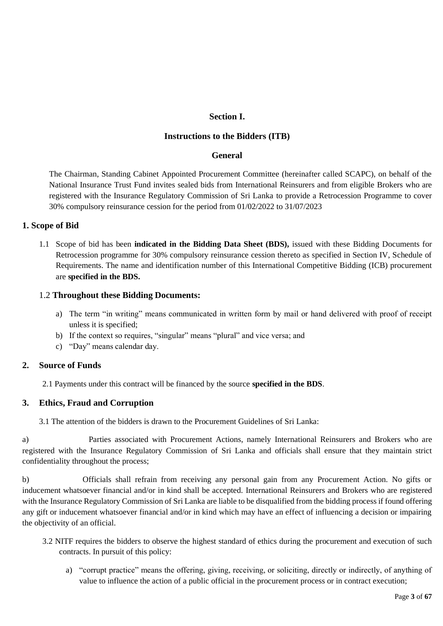# **Section I.**

### **Instructions to the Bidders (ITB)**

### **General**

The Chairman, Standing Cabinet Appointed Procurement Committee (hereinafter called SCAPC), on behalf of the National Insurance Trust Fund invites sealed bids from International Reinsurers and from eligible Brokers who are registered with the Insurance Regulatory Commission of Sri Lanka to provide a Retrocession Programme to cover 30% compulsory reinsurance cession for the period from 01/02/2022 to 31/07/2023

# **1. Scope of Bid**

1.1 Scope of bid has been **indicated in the Bidding Data Sheet (BDS),** issued with these Bidding Documents for Retrocession programme for 30% compulsory reinsurance cession thereto as specified in Section IV, Schedule of Requirements. The name and identification number of this International Competitive Bidding (ICB) procurement are **specified in the BDS.**

### 1.2 **Throughout these Bidding Documents:**

- a) The term "in writing" means communicated in written form by mail or hand delivered with proof of receipt unless it is specified;
- b) If the context so requires, "singular" means "plural" and vice versa; and
- c) "Day" means calendar day.

# **2. Source of Funds**

2.1 Payments under this contract will be financed by the source **specified in the BDS**.

# **3. Ethics, Fraud and Corruption**

3.1 The attention of the bidders is drawn to the Procurement Guidelines of Sri Lanka:

a) Parties associated with Procurement Actions, namely International Reinsurers and Brokers who are registered with the Insurance Regulatory Commission of Sri Lanka and officials shall ensure that they maintain strict confidentiality throughout the process;

b) Officials shall refrain from receiving any personal gain from any Procurement Action. No gifts or inducement whatsoever financial and/or in kind shall be accepted. International Reinsurers and Brokers who are registered with the Insurance Regulatory Commission of Sri Lanka are liable to be disqualified from the bidding process if found offering any gift or inducement whatsoever financial and/or in kind which may have an effect of influencing a decision or impairing the objectivity of an official.

- 3.2 NITF requires the bidders to observe the highest standard of ethics during the procurement and execution of such contracts. In pursuit of this policy:
	- a) "corrupt practice" means the offering, giving, receiving, or soliciting, directly or indirectly, of anything of value to influence the action of a public official in the procurement process or in contract execution;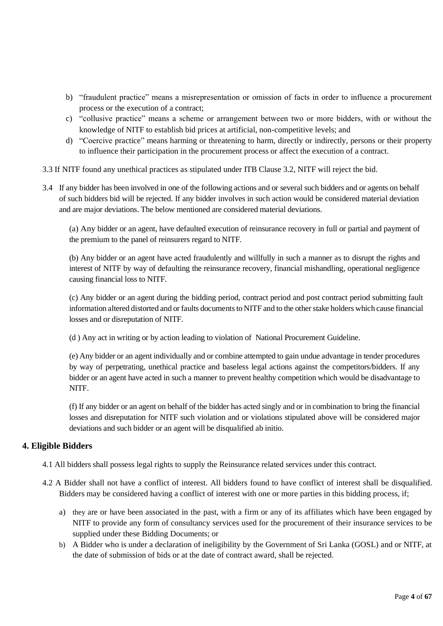- b) "fraudulent practice" means a misrepresentation or omission of facts in order to influence a procurement process or the execution of a contract;
- c) "collusive practice" means a scheme or arrangement between two or more bidders, with or without the knowledge of NITF to establish bid prices at artificial, non-competitive levels; and
- d) "Coercive practice" means harming or threatening to harm, directly or indirectly, persons or their property to influence their participation in the procurement process or affect the execution of a contract.
- 3.3 If NITF found any unethical practices as stipulated under ITB Clause 3.2, NITF will reject the bid.
- 3.4 If any bidder has been involved in one of the following actions and or several such bidders and or agents on behalf of such bidders bid will be rejected. If any bidder involves in such action would be considered material deviation and are major deviations. The below mentioned are considered material deviations.

(a) Any bidder or an agent, have defaulted execution of reinsurance recovery in full or partial and payment of the premium to the panel of reinsurers regard to NITF.

(b) Any bidder or an agent have acted fraudulently and willfully in such a manner as to disrupt the rights and interest of NITF by way of defaulting the reinsurance recovery, financial mishandling, operational negligence causing financial loss to NITF.

(c) Any bidder or an agent during the bidding period, contract period and post contract period submitting fault information altered distorted and or faults documents to NITF and to the other stake holders which cause financial losses and or disreputation of NITF.

(d ) Any act in writing or by action leading to violation of National Procurement Guideline.

(e) Any bidder or an agent individually and or combine attempted to gain undue advantage in tender procedures by way of perpetrating, unethical practice and baseless legal actions against the competitors/bidders. If any bidder or an agent have acted in such a manner to prevent healthy competition which would be disadvantage to NITF.

(f) If any bidder or an agent on behalf of the bidder has acted singly and or in combination to bring the financial losses and disreputation for NITF such violation and or violations stipulated above will be considered major deviations and such bidder or an agent will be disqualified ab initio.

# **4. Eligible Bidders**

4.1 All bidders shall possess legal rights to supply the Reinsurance related services under this contract.

- 4.2 A Bidder shall not have a conflict of interest. All bidders found to have conflict of interest shall be disqualified. Bidders may be considered having a conflict of interest with one or more parties in this bidding process, if;
	- a) they are or have been associated in the past, with a firm or any of its affiliates which have been engaged by NITF to provide any form of consultancy services used for the procurement of their insurance services to be supplied under these Bidding Documents; or
	- b) A Bidder who is under a declaration of ineligibility by the Government of Sri Lanka (GOSL) and or NITF, at the date of submission of bids or at the date of contract award, shall be rejected.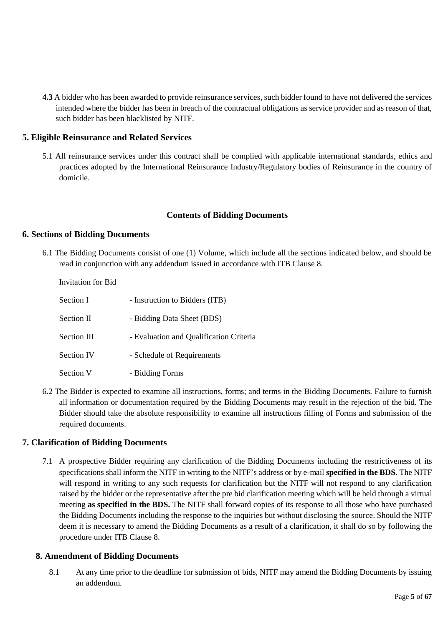**4.3** A bidder who has been awarded to provide reinsurance services, such bidder found to have not delivered the services intended where the bidder has been in breach of the contractual obligations as service provider and as reason of that, such bidder has been blacklisted by NITF.

### **5. Eligible Reinsurance and Related Services**

5.1 All reinsurance services under this contract shall be complied with applicable international standards, ethics and practices adopted by the International Reinsurance Industry/Regulatory bodies of Reinsurance in the country of domicile.

### **Contents of Bidding Documents**

### **6. Sections of Bidding Documents**

6.1 The Bidding Documents consist of one (1) Volume, which include all the sections indicated below, and should be read in conjunction with any addendum issued in accordance with ITB Clause 8.

| Invitation for Bid |                                         |
|--------------------|-----------------------------------------|
| Section I          | - Instruction to Bidders (ITB)          |
| Section II         | - Bidding Data Sheet (BDS)              |
| Section III        | - Evaluation and Qualification Criteria |
| <b>Section IV</b>  | - Schedule of Requirements              |
| Section V          | - Bidding Forms                         |

6.2 The Bidder is expected to examine all instructions, forms; and terms in the Bidding Documents. Failure to furnish all information or documentation required by the Bidding Documents may result in the rejection of the bid. The Bidder should take the absolute responsibility to examine all instructions filling of Forms and submission of the required documents.

### **7. Clarification of Bidding Documents**

7.1 A prospective Bidder requiring any clarification of the Bidding Documents including the restrictiveness of its specifications shall inform the NITF in writing to the NITF's address or by e-mail **specified in the BDS**. The NITF will respond in writing to any such requests for clarification but the NITF will not respond to any clarification raised by the bidder or the representative after the pre bid clarification meeting which will be held through a virtual meeting **as specified in the BDS.** The NITF shall forward copies of its response to all those who have purchased the Bidding Documents including the response to the inquiries but without disclosing the source. Should the NITF deem it is necessary to amend the Bidding Documents as a result of a clarification, it shall do so by following the procedure under ITB Clause 8.

### **8. Amendment of Bidding Documents**

8.1 At any time prior to the deadline for submission of bids, NITF may amend the Bidding Documents by issuing an addendum.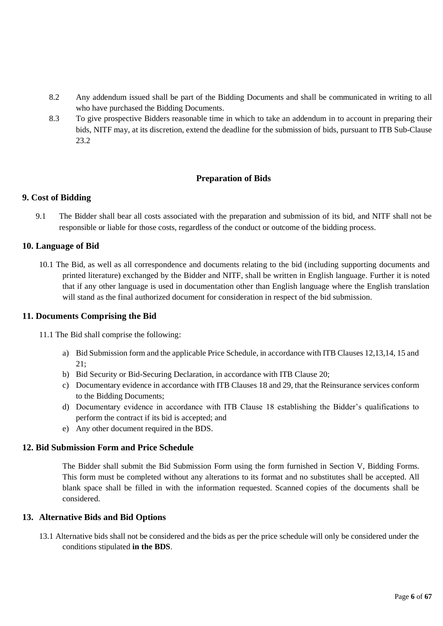- 8.2 Any addendum issued shall be part of the Bidding Documents and shall be communicated in writing to all who have purchased the Bidding Documents.
- 8.3 To give prospective Bidders reasonable time in which to take an addendum in to account in preparing their bids, NITF may, at its discretion, extend the deadline for the submission of bids, pursuant to ITB Sub-Clause 23.2

# **Preparation of Bids**

# **9. Cost of Bidding**

9.1 The Bidder shall bear all costs associated with the preparation and submission of its bid, and NITF shall not be responsible or liable for those costs, regardless of the conduct or outcome of the bidding process.

### **10. Language of Bid**

10.1 The Bid, as well as all correspondence and documents relating to the bid (including supporting documents and printed literature) exchanged by the Bidder and NITF, shall be written in English language. Further it is noted that if any other language is used in documentation other than English language where the English translation will stand as the final authorized document for consideration in respect of the bid submission.

### **11. Documents Comprising the Bid**

11.1 The Bid shall comprise the following:

- a) Bid Submission form and the applicable Price Schedule, in accordance with ITB Clauses 12,13,14, 15 and  $21 \cdot$
- b) Bid Security or Bid-Securing Declaration, in accordance with ITB Clause 20;
- c) Documentary evidence in accordance with ITB Clauses 18 and 29, that the Reinsurance services conform to the Bidding Documents;
- d) Documentary evidence in accordance with ITB Clause 18 establishing the Bidder's qualifications to perform the contract if its bid is accepted; and
- e) Any other document required in the BDS.

# **12. Bid Submission Form and Price Schedule**

The Bidder shall submit the Bid Submission Form using the form furnished in Section V, Bidding Forms. This form must be completed without any alterations to its format and no substitutes shall be accepted. All blank space shall be filled in with the information requested. Scanned copies of the documents shall be considered.

### **13. Alternative Bids and Bid Options**

13.1 Alternative bids shall not be considered and the bids as per the price schedule will only be considered under the conditions stipulated **in the BDS**.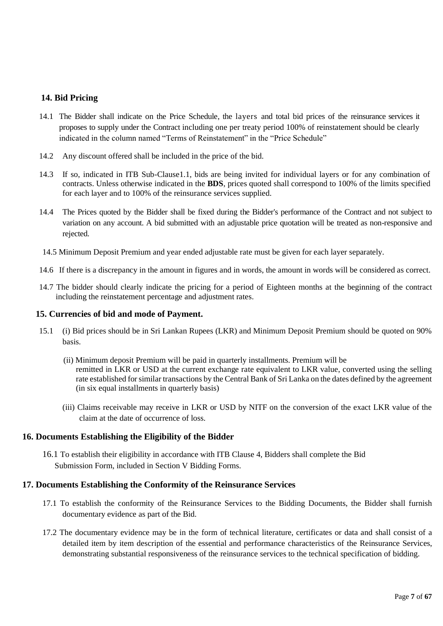# **14. Bid Pricing**

- 14.1 The Bidder shall indicate on the Price Schedule, the layers and total bid prices of the reinsurance services it proposes to supply under the Contract including one per treaty period 100% of reinstatement should be clearly indicated in the column named "Terms of Reinstatement" in the "Price Schedule"
- 14.2 Any discount offered shall be included in the price of the bid.
- 14.3 If so, indicated in ITB Sub-Clause1.1, bids are being invited for individual layers or for any combination of contracts. Unless otherwise indicated in the **BDS**, prices quoted shall correspond to 100% of the limits specified for each layer and to 100% of the reinsurance services supplied.
- 14.4 The Prices quoted by the Bidder shall be fixed during the Bidder's performance of the Contract and not subject to variation on any account. A bid submitted with an adjustable price quotation will be treated as non-responsive and rejected.
- 14.5 Minimum Deposit Premium and year ended adjustable rate must be given for each layer separately.
- 14.6 If there is a discrepancy in the amount in figures and in words, the amount in words will be considered as correct.
- 14.7 The bidder should clearly indicate the pricing for a period of Eighteen months at the beginning of the contract including the reinstatement percentage and adjustment rates.

### **15. Currencies of bid and mode of Payment.**

- 15.1 (i) Bid prices should be in Sri Lankan Rupees (LKR) and Minimum Deposit Premium should be quoted on 90% basis.
	- (ii) Minimum deposit Premium will be paid in quarterly installments. Premium will be remitted in LKR or USD at the current exchange rate equivalent to LKR value, converted using the selling rate established for similar transactions by the Central Bank of Sri Lanka on the dates defined by the agreement (in six equal installments in quarterly basis)
	- (iii) Claims receivable may receive in LKR or USD by NITF on the conversion of the exact LKR value of the claim at the date of occurrence of loss.

# **16. Documents Establishing the Eligibility of the Bidder**

16.1 To establish their eligibility in accordance with ITB Clause 4, Bidders shall complete the Bid Submission Form, included in Section V Bidding Forms.

# **17. Documents Establishing the Conformity of the Reinsurance Services**

- 17.1 To establish the conformity of the Reinsurance Services to the Bidding Documents, the Bidder shall furnish documentary evidence as part of the Bid.
- 17.2 The documentary evidence may be in the form of technical literature, certificates or data and shall consist of a detailed item by item description of the essential and performance characteristics of the Reinsurance Services, demonstrating substantial responsiveness of the reinsurance services to the technical specification of bidding.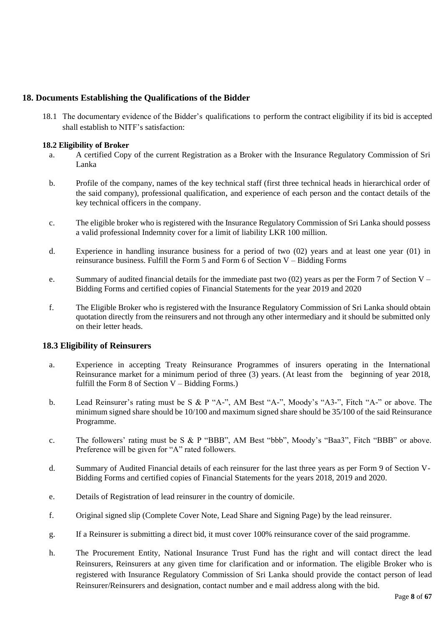# **18. Documents Establishing the Qualifications of the Bidder**

18.1 The documentary evidence of the Bidder's qualifications to perform the contract eligibility if its bid is accepted shall establish to NITF's satisfaction:

### **18.2 Eligibility of Broker**

- a. A certified Copy of the current Registration as a Broker with the Insurance Regulatory Commission of Sri Lanka
- b. Profile of the company, names of the key technical staff (first three technical heads in hierarchical order of the said company), professional qualification, and experience of each person and the contact details of the key technical officers in the company.
- c. The eligible broker who is registered with the Insurance Regulatory Commission of Sri Lanka should possess a valid professional Indemnity cover for a limit of liability LKR 100 million.
- d. Experience in handling insurance business for a period of two (02) years and at least one year (01) in reinsurance business. Fulfill the Form 5 and Form 6 of Section V – Bidding Forms
- e. Summary of audited financial details for the immediate past two  $(02)$  years as per the Form 7 of Section V Bidding Forms and certified copies of Financial Statements for the year 2019 and 2020
- f. The Eligible Broker who is registered with the Insurance Regulatory Commission of Sri Lanka should obtain quotation directly from the reinsurers and not through any other intermediary and it should be submitted only on their letter heads.

# **18.3 Eligibility of Reinsurers**

- a. Experience in accepting Treaty Reinsurance Programmes of insurers operating in the International Reinsurance market for a minimum period of three (3) years. (At least from the beginning of year 2018, fulfill the Form 8 of Section  $V - B$ idding Forms.)
- b. Lead Reinsurer's rating must be S & P "A-", AM Best "A-", Moody's "A3-", Fitch "A-" or above. The minimum signed share should be 10/100 and maximum signed share should be 35/100 of the said Reinsurance Programme.
- c. The followers' rating must be S & P "BBB", AM Best "bbb", Moody's "Baa3", Fitch "BBB" or above. Preference will be given for "A" rated followers.
- d. Summary of Audited Financial details of each reinsurer for the last three years as per Form 9 of Section V-Bidding Forms and certified copies of Financial Statements for the years 2018, 2019 and 2020.
- e. Details of Registration of lead reinsurer in the country of domicile.
- f. Original signed slip (Complete Cover Note, Lead Share and Signing Page) by the lead reinsurer.
- g. If a Reinsurer is submitting a direct bid, it must cover 100% reinsurance cover of the said programme.
- h. The Procurement Entity, National Insurance Trust Fund has the right and will contact direct the lead Reinsurers, Reinsurers at any given time for clarification and or information. The eligible Broker who is registered with Insurance Regulatory Commission of Sri Lanka should provide the contact person of lead Reinsurer/Reinsurers and designation, contact number and e mail address along with the bid.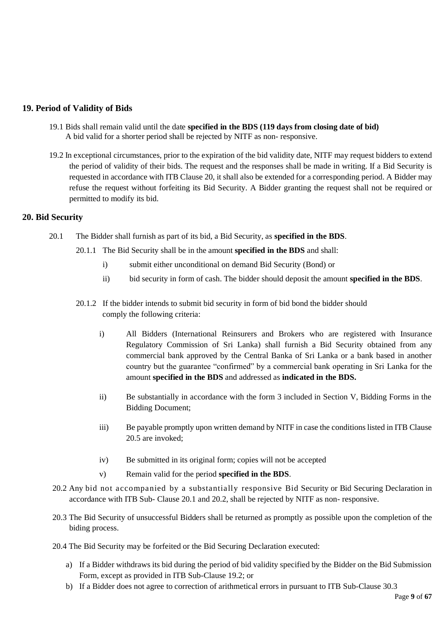# **19. Period of Validity of Bids**

- 19.1 Bids shall remain valid until the date **specified in the BDS (119 days from closing date of bid)**  A bid valid for a shorter period shall be rejected by NITF as non- responsive.
- 19.2 In exceptional circumstances, prior to the expiration of the bid validity date, NITF may request bidders to extend the period of validity of their bids. The request and the responses shall be made in writing. If a Bid Security is requested in accordance with ITB Clause 20, it shall also be extended for a corresponding period. A Bidder may refuse the request without forfeiting its Bid Security. A Bidder granting the request shall not be required or permitted to modify its bid.

# **20. Bid Security**

- 20.1 The Bidder shall furnish as part of its bid, a Bid Security, as **specified in the BDS**.
	- 20.1.1 The Bid Security shall be in the amount **specified in the BDS** and shall:
		- i) submit either unconditional on demand Bid Security (Bond) or
		- ii) bid security in form of cash. The bidder should deposit the amount **specified in the BDS**.
	- 20.1.2 If the bidder intends to submit bid security in form of bid bond the bidder should comply the following criteria:
		- i) All Bidders (International Reinsurers and Brokers who are registered with Insurance Regulatory Commission of Sri Lanka) shall furnish a Bid Security obtained from any commercial bank approved by the Central Banka of Sri Lanka or a bank based in another country but the guarantee "confirmed" by a commercial bank operating in Sri Lanka for the amount **specified in the BDS** and addressed as **indicated in the BDS.**
		- ii) Be substantially in accordance with the form 3 included in Section V, Bidding Forms in the Bidding Document;
		- iii) Be payable promptly upon written demand by NITF in case the conditions listed in ITB Clause 20.5 are invoked;
		- iv) Be submitted in its original form; copies will not be accepted
		- v) Remain valid for the period **specified in the BDS**.
- 20.2 Any bid not accompanied by a substantially responsive Bid Security or Bid Securing Declaration in accordance with ITB Sub- Clause 20.1 and 20.2, shall be rejected by NITF as non- responsive.
- 20.3 The Bid Security of unsuccessful Bidders shall be returned as promptly as possible upon the completion of the biding process.
- 20.4 The Bid Security may be forfeited or the Bid Securing Declaration executed:
	- a) If a Bidder withdraws its bid during the period of bid validity specified by the Bidder on the Bid Submission Form, except as provided in ITB Sub-Clause 19.2; or
	- b) If a Bidder does not agree to correction of arithmetical errors in pursuant to ITB Sub-Clause 30.3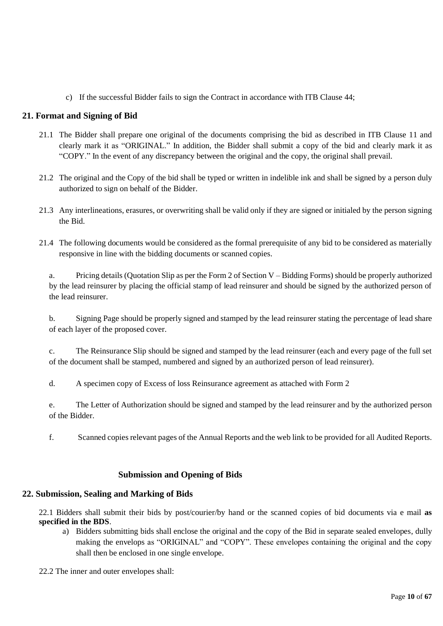c) If the successful Bidder fails to sign the Contract in accordance with ITB Clause 44;

# **21. Format and Signing of Bid**

- 21.1 The Bidder shall prepare one original of the documents comprising the bid as described in ITB Clause 11 and clearly mark it as "ORIGINAL." In addition, the Bidder shall submit a copy of the bid and clearly mark it as "COPY." In the event of any discrepancy between the original and the copy, the original shall prevail.
- 21.2 The original and the Copy of the bid shall be typed or written in indelible ink and shall be signed by a person duly authorized to sign on behalf of the Bidder.
- 21.3 Any interlineations, erasures, or overwriting shall be valid only if they are signed or initialed by the person signing the Bid.
- 21.4 The following documents would be considered as the formal prerequisite of any bid to be considered as materially responsive in line with the bidding documents or scanned copies.

a. Pricing details (Quotation Slip as per the Form 2 of Section V – Bidding Forms) should be properly authorized by the lead reinsurer by placing the official stamp of lead reinsurer and should be signed by the authorized person of the lead reinsurer.

b. Signing Page should be properly signed and stamped by the lead reinsurer stating the percentage of lead share of each layer of the proposed cover.

c. The Reinsurance Slip should be signed and stamped by the lead reinsurer (each and every page of the full set of the document shall be stamped, numbered and signed by an authorized person of lead reinsurer).

d. A specimen copy of Excess of loss Reinsurance agreement as attached with Form 2

e. The Letter of Authorization should be signed and stamped by the lead reinsurer and by the authorized person of the Bidder.

f. Scanned copies relevant pages of the Annual Reports and the web link to be provided for all Audited Reports.

# **Submission and Opening of Bids**

# **22. Submission, Sealing and Marking of Bids**

22.1 Bidders shall submit their bids by post/courier/by hand or the scanned copies of bid documents via e mail **as specified in the BDS**.

a) Bidders submitting bids shall enclose the original and the copy of the Bid in separate sealed envelopes, dully making the envelops as "ORIGINAL" and "COPY". These envelopes containing the original and the copy shall then be enclosed in one single envelope.

22.2 The inner and outer envelopes shall: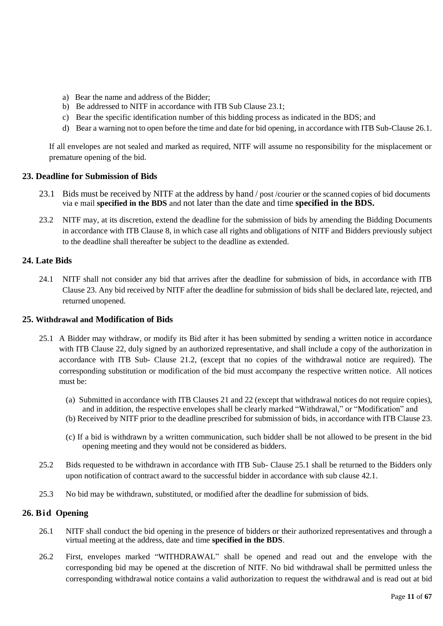- a) Bear the name and address of the Bidder;
- b) Be addressed to NITF in accordance with ITB Sub Clause 23.1;
- c) Bear the specific identification number of this bidding process as indicated in the BDS; and
- d) Bear a warning not to open before the time and date for bid opening, in accordance with ITB Sub-Clause 26.1.

If all envelopes are not sealed and marked as required, NITF will assume no responsibility for the misplacement or premature opening of the bid.

### **23. Deadline for Submission of Bids**

- 23.1 Bids must be received by NITF at the address by hand / post / courier or the scanned copies of bid documents via e mail **specified in the BDS** and not later than the date and time **specified in the BDS.**
- 23.2 NITF may, at its discretion, extend the deadline for the submission of bids by amending the Bidding Documents in accordance with ITB Clause 8, in which case all rights and obligations of NITF and Bidders previously subject to the deadline shall thereafter be subject to the deadline as extended.

### **24. Late Bids**

24.1 NITF shall not consider any bid that arrives after the deadline for submission of bids, in accordance with ITB Clause 23. Any bid received by NITF after the deadline for submission of bids shall be declared late, rejected, and returned unopened.

### **25. Withdrawal and Modification of Bids**

- 25.1 A Bidder may withdraw, or modify its Bid after it has been submitted by sending a written notice in accordance with ITB Clause 22, duly signed by an authorized representative, and shall include a copy of the authorization in accordance with ITB Sub- Clause 21.2, (except that no copies of the withdrawal notice are required). The corresponding substitution or modification of the bid must accompany the respective written notice. All notices must be:
	- (a) Submitted in accordance with ITB Clauses 21 and 22 (except that withdrawal notices do not require copies), and in addition, the respective envelopes shall be clearly marked "Withdrawal," or "Modification" and
	- (b) Received by NITF prior to the deadline prescribed for submission of bids, in accordance with ITB Clause 23.
	- (c) If a bid is withdrawn by a written communication, such bidder shall be not allowed to be present in the bid opening meeting and they would not be considered as bidders.
- 25.2 Bids requested to be withdrawn in accordance with ITB Sub- Clause 25.1 shall be returned to the Bidders only upon notification of contract award to the successful bidder in accordance with sub clause 42.1.
- 25.3 No bid may be withdrawn, substituted, or modified after the deadline for submission of bids.

### **26. Bid Opening**

- 26.1 NITF shall conduct the bid opening in the presence of bidders or their authorized representatives and through a virtual meeting at the address, date and time **specified in the BDS**.
- 26.2 First, envelopes marked "WITHDRAWAL" shall be opened and read out and the envelope with the corresponding bid may be opened at the discretion of NITF. No bid withdrawal shall be permitted unless the corresponding withdrawal notice contains a valid authorization to request the withdrawal and is read out at bid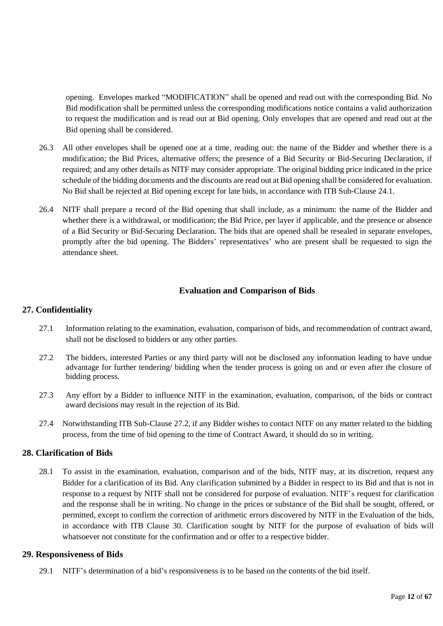opening. Envelopes marked "MODIFICATION" shall be opened and read out with the corresponding Bid. No Bid modification shall be permitted unless the corresponding modifications notice contains a valid authorization to request the modification and is read out at Bid opening. Only envelopes that are opened and read out at the Bid opening shall be considered.

- 26.3 All other envelopes shall be opened one at a time, reading out: the name of the Bidder and whether there is a modification; the Bid Prices, alternative offers; the presence of a Bid Security or Bid-Securing Declaration, if required; and any other details as NITF may consider appropriate. The original bidding price indicated in the price schedule of the bidding documents and the discounts are read out at Bid opening shall be considered for evaluation. No Bid shall be rejected at Bid opening except for late bids, in accordance with ITB Sub-Clause 24.1.
- 26.4 NITF shall prepare a record of the Bid opening that shall include, as a minimum: the name of the Bidder and whether there is a withdrawal, or modification; the Bid Price, per layer if applicable, and the presence or absence of a Bid Security or Bid-Securing Declaration. The bids that are opened shall be resealed in separate envelopes, promptly after the bid opening. The Bidders' representatives' who are present shall be requested to sign the attendance sheet.

# **Evaluation and Comparison of Bids**

# **27. Confidentiality**

- 27.1 Information relating to the examination, evaluation, comparison of bids, and recommendation of contract award, shall not be disclosed to bidders or any other parties.
- 27.2 The bidders, interested Parties or any third party will not be disclosed any information leading to have undue advantage for further tendering/ bidding when the tender process is going on and or even after the closure of bidding process.
- 27.3 Any effort by a Bidder to influence NITF in the examination, evaluation, comparison, of the bids or contract award decisions may result in the rejection of its Bid.
- 27.4 Notwithstanding ITB Sub-Clause 27.2, if any Bidder wishes to contact NITF on any matter related to the bidding process, from the time of bid opening to the time of Contract Award, it should do so in writing.

### **28. Clarification of Bids**

28.1 To assist in the examination, evaluation, comparison and of the bids, NITF may, at its discretion, request any Bidder for a clarification of its Bid. Any clarification submitted by a Bidder in respect to its Bid and that is not in response to a request by NITF shall not be considered for purpose of evaluation. NITF's request for clarification and the response shall be in writing. No change in the prices or substance of the Bid shall be sought, offered, or permitted, except to confirm the correction of arithmetic errors discovered by NITF in the Evaluation of the bids, in accordance with ITB Clause 30. Clarification sought by NITF for the purpose of evaluation of bids will whatsoever not constitute for the confirmation and or offer to a respective bidder.

### **29. Responsiveness of Bids**

29.1 NITF's determination of a bid's responsiveness is to be based on the contents of the bid itself.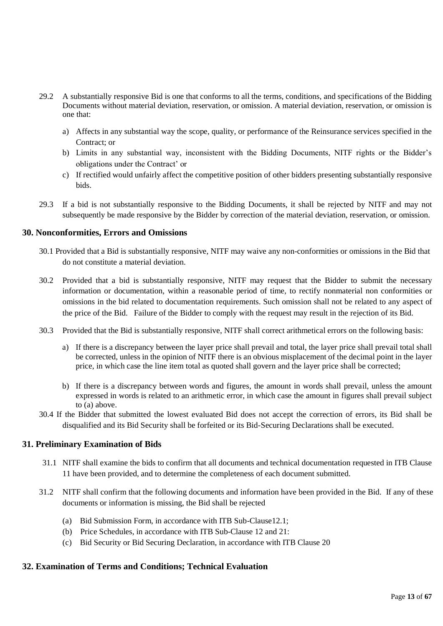- 29.2 A substantially responsive Bid is one that conforms to all the terms, conditions, and specifications of the Bidding Documents without material deviation, reservation, or omission. A material deviation, reservation, or omission is one that:
	- a) Affects in any substantial way the scope, quality, or performance of the Reinsurance services specified in the Contract; or
	- b) Limits in any substantial way, inconsistent with the Bidding Documents, NITF rights or the Bidder's obligations under the Contract' or
	- c) If rectified would unfairly affect the competitive position of other bidders presenting substantially responsive bids.
- 29.3 If a bid is not substantially responsive to the Bidding Documents, it shall be rejected by NITF and may not subsequently be made responsive by the Bidder by correction of the material deviation, reservation, or omission.

# **30. Nonconformities, Errors and Omissions**

- 30.1 Provided that a Bid is substantially responsive, NITF may waive any non-conformities or omissions in the Bid that do not constitute a material deviation.
- 30.2 Provided that a bid is substantially responsive, NITF may request that the Bidder to submit the necessary information or documentation, within a reasonable period of time, to rectify nonmaterial non conformities or omissions in the bid related to documentation requirements. Such omission shall not be related to any aspect of the price of the Bid. Failure of the Bidder to comply with the request may result in the rejection of its Bid.
- 30.3 Provided that the Bid is substantially responsive, NITF shall correct arithmetical errors on the following basis:
	- a) If there is a discrepancy between the layer price shall prevail and total, the layer price shall prevail total shall be corrected, unless in the opinion of NITF there is an obvious misplacement of the decimal point in the layer price, in which case the line item total as quoted shall govern and the layer price shall be corrected;
	- b) If there is a discrepancy between words and figures, the amount in words shall prevail, unless the amount expressed in words is related to an arithmetic error, in which case the amount in figures shall prevail subject to (a) above.
- 30.4 If the Bidder that submitted the lowest evaluated Bid does not accept the correction of errors, its Bid shall be disqualified and its Bid Security shall be forfeited or its Bid-Securing Declarations shall be executed.

### **31. Preliminary Examination of Bids**

- 31.1 NITF shall examine the bids to confirm that all documents and technical documentation requested in ITB Clause 11 have been provided, and to determine the completeness of each document submitted.
- 31.2 NITF shall confirm that the following documents and information have been provided in the Bid. If any of these documents or information is missing, the Bid shall be rejected
	- (a) Bid Submission Form, in accordance with ITB Sub-Clause12.1;
	- (b) Price Schedules, in accordance with ITB Sub-Clause 12 and 21:
	- (c) Bid Security or Bid Securing Declaration, in accordance with ITB Clause 20

### **32. Examination of Terms and Conditions; Technical Evaluation**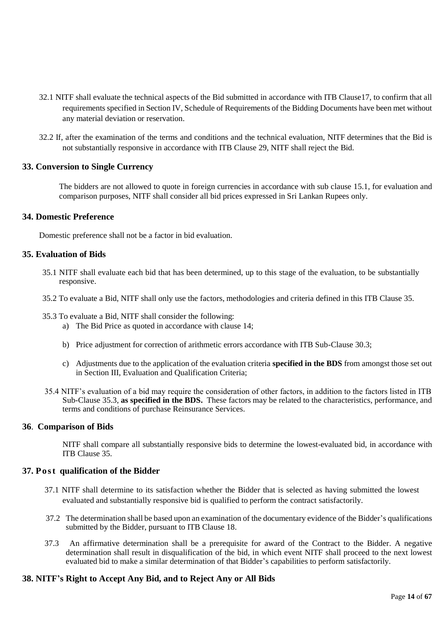- 32.1 NITF shall evaluate the technical aspects of the Bid submitted in accordance with ITB Clause17, to confirm that all requirements specified in Section IV, Schedule of Requirements of the Bidding Documents have been met without any material deviation or reservation.
- 32.2 If, after the examination of the terms and conditions and the technical evaluation, NITF determines that the Bid is not substantially responsive in accordance with ITB Clause 29, NITF shall reject the Bid.

# **33. Conversion to Single Currency**

The bidders are not allowed to quote in foreign currencies in accordance with sub clause 15.1, for evaluation and comparison purposes, NITF shall consider all bid prices expressed in Sri Lankan Rupees only.

### **34. Domestic Preference**

Domestic preference shall not be a factor in bid evaluation.

### **35. Evaluation of Bids**

- 35.1 NITF shall evaluate each bid that has been determined, up to this stage of the evaluation, to be substantially responsive.
- 35.2 To evaluate a Bid, NITF shall only use the factors, methodologies and criteria defined in this ITB Clause 35.
- 35.3 To evaluate a Bid, NITF shall consider the following:
	- a) The Bid Price as quoted in accordance with clause 14;
	- b) Price adjustment for correction of arithmetic errors accordance with ITB Sub-Clause 30.3;
	- c) Adjustments due to the application of the evaluation criteria **specified in the BDS** from amongst those set out in Section III, Evaluation and Qualification Criteria;
- 35.4 NITF's evaluation of a bid may require the consideration of other factors, in addition to the factors listed in ITB Sub-Clause 35.3, **as specified in the BDS.** These factors may be related to the characteristics, performance, and terms and conditions of purchase Reinsurance Services.

### **36**. **Comparison of Bids**

NITF shall compare all substantially responsive bids to determine the lowest-evaluated bid, in accordance with ITB Clause 35.

### **37. Pos t qualification of the Bidder**

- 37.1 NITF shall determine to its satisfaction whether the Bidder that is selected as having submitted the lowest evaluated and substantially responsive bid is qualified to perform the contract satisfactorily.
- 37.2 The determination shall be based upon an examination of the documentary evidence of the Bidder's qualifications submitted by the Bidder, pursuant to ITB Clause 18.
- 37.3 An affirmative determination shall be a prerequisite for award of the Contract to the Bidder. A negative determination shall result in disqualification of the bid, in which event NITF shall proceed to the next lowest evaluated bid to make a similar determination of that Bidder's capabilities to perform satisfactorily.

### **38. NITF's Right to Accept Any Bid, and to Reject Any or All Bids**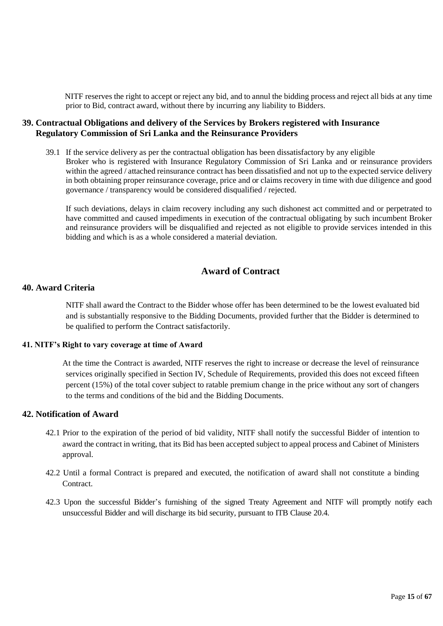NITF reserves the right to accept or reject any bid, and to annul the bidding process and reject all bids at any time prior to Bid, contract award, without there by incurring any liability to Bidders.

### **39. Contractual Obligations and delivery of the Services by Brokers registered with Insurance Regulatory Commission of Sri Lanka and the Reinsurance Providers**

39.1 If the service delivery as per the contractual obligation has been dissatisfactory by any eligible Broker who is registered with Insurance Regulatory Commission of Sri Lanka and or reinsurance providers within the agreed / attached reinsurance contract has been dissatisfied and not up to the expected service delivery in both obtaining proper reinsurance coverage, price and or claims recovery in time with due diligence and good governance / transparency would be considered disqualified / rejected.

If such deviations, delays in claim recovery including any such dishonest act committed and or perpetrated to have committed and caused impediments in execution of the contractual obligating by such incumbent Broker and reinsurance providers will be disqualified and rejected as not eligible to provide services intended in this bidding and which is as a whole considered a material deviation.

# **Award of Contract**

# **40. Award Criteria**

NITF shall award the Contract to the Bidder whose offer has been determined to be the lowest evaluated bid and is substantially responsive to the Bidding Documents, provided further that the Bidder is determined to be qualified to perform the Contract satisfactorily.

### **41. NITF's Right to vary coverage at time of Award**

At the time the Contract is awarded, NITF reserves the right to increase or decrease the level of reinsurance services originally specified in Section IV, Schedule of Requirements, provided this does not exceed fifteen percent (15%) of the total cover subject to ratable premium change in the price without any sort of changers to the terms and conditions of the bid and the Bidding Documents.

# **42. Notification of Award**

- 42.1 Prior to the expiration of the period of bid validity, NITF shall notify the successful Bidder of intention to award the contract in writing, that its Bid has been accepted subject to appeal process and Cabinet of Ministers approval.
- 42.2 Until a formal Contract is prepared and executed, the notification of award shall not constitute a binding Contract.
- 42.3 Upon the successful Bidder's furnishing of the signed Treaty Agreement and NITF will promptly notify each unsuccessful Bidder and will discharge its bid security, pursuant to ITB Clause 20.4.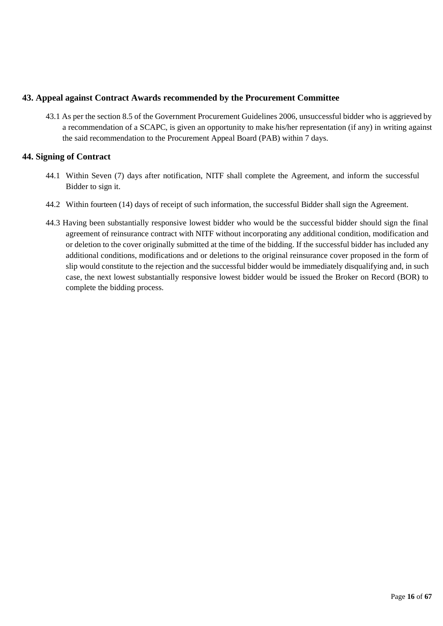# **43. Appeal against Contract Awards recommended by the Procurement Committee**

43.1 As per the section 8.5 of the Government Procurement Guidelines 2006, unsuccessful bidder who is aggrieved by a recommendation of a SCAPC, is given an opportunity to make his/her representation (if any) in writing against the said recommendation to the Procurement Appeal Board (PAB) within 7 days.

# **44. Signing of Contract**

- 44.1 Within Seven (7) days after notification, NITF shall complete the Agreement, and inform the successful Bidder to sign it.
- 44.2 Within fourteen (14) days of receipt of such information, the successful Bidder shall sign the Agreement.
- 44.3 Having been substantially responsive lowest bidder who would be the successful bidder should sign the final agreement of reinsurance contract with NITF without incorporating any additional condition, modification and or deletion to the cover originally submitted at the time of the bidding. If the successful bidder has included any additional conditions, modifications and or deletions to the original reinsurance cover proposed in the form of slip would constitute to the rejection and the successful bidder would be immediately disqualifying and, in such case, the next lowest substantially responsive lowest bidder would be issued the Broker on Record (BOR) to complete the bidding process.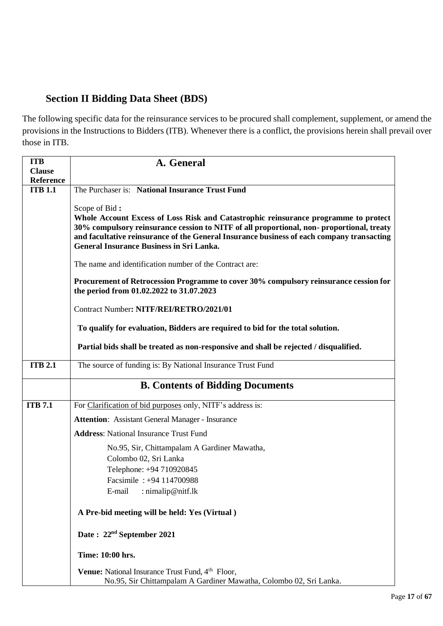# **Section II Bidding Data Sheet (BDS)**

The following specific data for the reinsurance services to be procured shall complement, supplement, or amend the provisions in the Instructions to Bidders (ITB). Whenever there is a conflict, the provisions herein shall prevail over those in ITB.

| <b>ITB</b>                        | A. General                                                                                                                                                                                                                                                                                                                                                                                                                                                                                                                                       |
|-----------------------------------|--------------------------------------------------------------------------------------------------------------------------------------------------------------------------------------------------------------------------------------------------------------------------------------------------------------------------------------------------------------------------------------------------------------------------------------------------------------------------------------------------------------------------------------------------|
| <b>Clause</b><br><b>Reference</b> |                                                                                                                                                                                                                                                                                                                                                                                                                                                                                                                                                  |
| <b>ITB 1.1</b>                    | The Purchaser is: National Insurance Trust Fund                                                                                                                                                                                                                                                                                                                                                                                                                                                                                                  |
|                                   | Scope of Bid:<br>Whole Account Excess of Loss Risk and Catastrophic reinsurance programme to protect<br>30% compulsory reinsurance cession to NITF of all proportional, non-proportional, treaty<br>and facultative reinsurance of the General Insurance business of each company transacting<br><b>General Insurance Business in Sri Lanka.</b><br>The name and identification number of the Contract are:<br>Procurement of Retrocession Programme to cover 30% compulsory reinsurance cession for<br>the period from 01.02.2022 to 31.07.2023 |
|                                   | Contract Number: NITF/REI/RETRO/2021/01                                                                                                                                                                                                                                                                                                                                                                                                                                                                                                          |
|                                   | To qualify for evaluation, Bidders are required to bid for the total solution.                                                                                                                                                                                                                                                                                                                                                                                                                                                                   |
|                                   | Partial bids shall be treated as non-responsive and shall be rejected / disqualified.                                                                                                                                                                                                                                                                                                                                                                                                                                                            |
| <b>ITB 2.1</b>                    | The source of funding is: By National Insurance Trust Fund                                                                                                                                                                                                                                                                                                                                                                                                                                                                                       |
|                                   | <b>B. Contents of Bidding Documents</b>                                                                                                                                                                                                                                                                                                                                                                                                                                                                                                          |
| <b>ITB</b> 7.1                    | For Clarification of bid purposes only, NITF's address is:                                                                                                                                                                                                                                                                                                                                                                                                                                                                                       |
|                                   | <b>Attention:</b> Assistant General Manager - Insurance                                                                                                                                                                                                                                                                                                                                                                                                                                                                                          |
|                                   | <b>Address:</b> National Insurance Trust Fund                                                                                                                                                                                                                                                                                                                                                                                                                                                                                                    |
|                                   | No.95, Sir, Chittampalam A Gardiner Mawatha,                                                                                                                                                                                                                                                                                                                                                                                                                                                                                                     |
|                                   | Colombo 02, Sri Lanka                                                                                                                                                                                                                                                                                                                                                                                                                                                                                                                            |
|                                   | Telephone: +94 710920845<br>Facsimile: +94 114700988                                                                                                                                                                                                                                                                                                                                                                                                                                                                                             |
|                                   | E-mail<br>: nimalip@nitf.lk                                                                                                                                                                                                                                                                                                                                                                                                                                                                                                                      |
|                                   | A Pre-bid meeting will be held: Yes (Virtual)                                                                                                                                                                                                                                                                                                                                                                                                                                                                                                    |
|                                   | Date: 22 <sup>nd</sup> September 2021                                                                                                                                                                                                                                                                                                                                                                                                                                                                                                            |
|                                   | Time: 10:00 hrs.                                                                                                                                                                                                                                                                                                                                                                                                                                                                                                                                 |
|                                   | Venue: National Insurance Trust Fund, 4 <sup>th</sup> Floor,<br>No.95, Sir Chittampalam A Gardiner Mawatha, Colombo 02, Sri Lanka.                                                                                                                                                                                                                                                                                                                                                                                                               |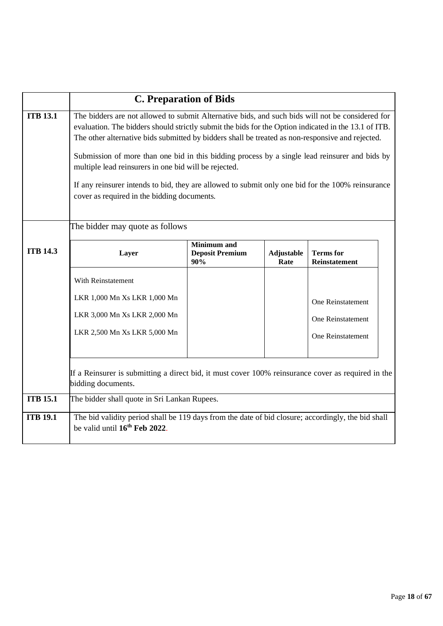|                 | <b>C. Preparation of Bids</b>                                                                                                                                                                                                                                                                                                                                                                                                                                                                                                                                                                                               |                                                     |                           |                                          |  |
|-----------------|-----------------------------------------------------------------------------------------------------------------------------------------------------------------------------------------------------------------------------------------------------------------------------------------------------------------------------------------------------------------------------------------------------------------------------------------------------------------------------------------------------------------------------------------------------------------------------------------------------------------------------|-----------------------------------------------------|---------------------------|------------------------------------------|--|
| <b>ITB 13.1</b> | The bidders are not allowed to submit Alternative bids, and such bids will not be considered for<br>evaluation. The bidders should strictly submit the bids for the Option indicated in the 13.1 of ITB.<br>The other alternative bids submitted by bidders shall be treated as non-responsive and rejected.<br>Submission of more than one bid in this bidding process by a single lead reinsurer and bids by<br>multiple lead reinsurers in one bid will be rejected.<br>If any reinsurer intends to bid, they are allowed to submit only one bid for the 100% reinsurance<br>cover as required in the bidding documents. |                                                     |                           |                                          |  |
|                 | The bidder may quote as follows                                                                                                                                                                                                                                                                                                                                                                                                                                                                                                                                                                                             |                                                     |                           |                                          |  |
| <b>ITB 14.3</b> | Layer                                                                                                                                                                                                                                                                                                                                                                                                                                                                                                                                                                                                                       | <b>Minimum</b> and<br><b>Deposit Premium</b><br>90% | <b>Adjustable</b><br>Rate | <b>Terms</b> for<br><b>Reinstatement</b> |  |
|                 | With Reinstatement                                                                                                                                                                                                                                                                                                                                                                                                                                                                                                                                                                                                          |                                                     |                           |                                          |  |
|                 | LKR 1,000 Mn Xs LKR 1,000 Mn<br>LKR 3,000 Mn Xs LKR 2,000 Mn                                                                                                                                                                                                                                                                                                                                                                                                                                                                                                                                                                |                                                     |                           | One Reinstatement<br>One Reinstatement   |  |
|                 | LKR 2,500 Mn Xs LKR 5,000 Mn                                                                                                                                                                                                                                                                                                                                                                                                                                                                                                                                                                                                |                                                     |                           | One Reinstatement                        |  |
|                 | If a Reinsurer is submitting a direct bid, it must cover 100% reinsurance cover as required in the<br>bidding documents.                                                                                                                                                                                                                                                                                                                                                                                                                                                                                                    |                                                     |                           |                                          |  |
| <b>ITB 15.1</b> | The bidder shall quote in Sri Lankan Rupees.                                                                                                                                                                                                                                                                                                                                                                                                                                                                                                                                                                                |                                                     |                           |                                          |  |
| <b>ITB 19.1</b> | The bid validity period shall be 119 days from the date of bid closure; accordingly, the bid shall<br>be valid until 16 <sup>th</sup> Feb 2022.                                                                                                                                                                                                                                                                                                                                                                                                                                                                             |                                                     |                           |                                          |  |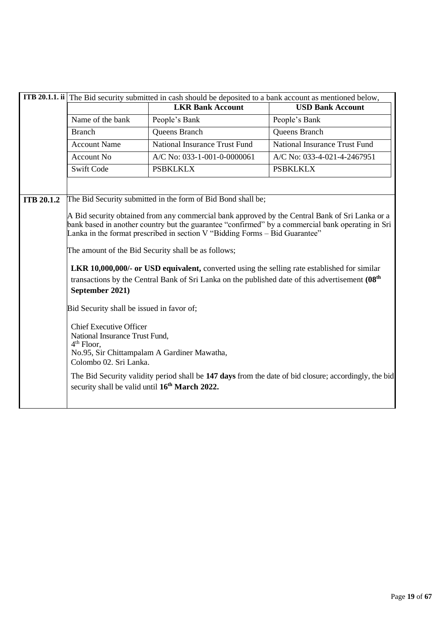|                   | <b>ITB 20.1.1. ii</b> The Bid security submitted in cash should be deposited to a bank account as mentioned below, |                                                                                                                                                                                                                                                                                                                                                                                                                                                                                                                                                                    |                                                                                                       |  |
|-------------------|--------------------------------------------------------------------------------------------------------------------|--------------------------------------------------------------------------------------------------------------------------------------------------------------------------------------------------------------------------------------------------------------------------------------------------------------------------------------------------------------------------------------------------------------------------------------------------------------------------------------------------------------------------------------------------------------------|-------------------------------------------------------------------------------------------------------|--|
|                   |                                                                                                                    | <b>LKR Bank Account</b>                                                                                                                                                                                                                                                                                                                                                                                                                                                                                                                                            | <b>USD Bank Account</b>                                                                               |  |
|                   | Name of the bank                                                                                                   | People's Bank                                                                                                                                                                                                                                                                                                                                                                                                                                                                                                                                                      | People's Bank                                                                                         |  |
|                   | <b>Branch</b>                                                                                                      | <b>Queens Branch</b>                                                                                                                                                                                                                                                                                                                                                                                                                                                                                                                                               | Queens Branch                                                                                         |  |
|                   | <b>Account Name</b>                                                                                                | <b>National Insurance Trust Fund</b>                                                                                                                                                                                                                                                                                                                                                                                                                                                                                                                               | <b>National Insurance Trust Fund</b>                                                                  |  |
|                   | Account No                                                                                                         | A/C No: 033-1-001-0-0000061                                                                                                                                                                                                                                                                                                                                                                                                                                                                                                                                        | A/C No: 033-4-021-4-2467951                                                                           |  |
|                   | <b>Swift Code</b>                                                                                                  | <b>PSBKLKLX</b>                                                                                                                                                                                                                                                                                                                                                                                                                                                                                                                                                    | <b>PSBKLKLX</b>                                                                                       |  |
|                   |                                                                                                                    |                                                                                                                                                                                                                                                                                                                                                                                                                                                                                                                                                                    |                                                                                                       |  |
| <b>ITB 20.1.2</b> |                                                                                                                    | The Bid Security submitted in the form of Bid Bond shall be;                                                                                                                                                                                                                                                                                                                                                                                                                                                                                                       |                                                                                                       |  |
|                   |                                                                                                                    | A Bid security obtained from any commercial bank approved by the Central Bank of Sri Lanka or a<br>bank based in another country but the guarantee "confirmed" by a commercial bank operating in Sri<br>Lanka in the format prescribed in section V "Bidding Forms $-$ Bid Guarantee"<br>The amount of the Bid Security shall be as follows;<br><b>LKR 10,000,000/- or USD equivalent, converted using the selling rate established for similar</b><br>transactions by the Central Bank of Sri Lanka on the published date of this advertisement (08 <sup>th</sup> |                                                                                                       |  |
|                   | September 2021)                                                                                                    |                                                                                                                                                                                                                                                                                                                                                                                                                                                                                                                                                                    |                                                                                                       |  |
|                   | Bid Security shall be issued in favor of;                                                                          |                                                                                                                                                                                                                                                                                                                                                                                                                                                                                                                                                                    |                                                                                                       |  |
|                   | <b>Chief Executive Officer</b><br>National Insurance Trust Fund,<br>$4th$ Floor,<br>Colombo 02. Sri Lanka.         | No.95, Sir Chittampalam A Gardiner Mawatha,                                                                                                                                                                                                                                                                                                                                                                                                                                                                                                                        |                                                                                                       |  |
|                   | security shall be valid until 16 <sup>th</sup> March 2022.                                                         |                                                                                                                                                                                                                                                                                                                                                                                                                                                                                                                                                                    | The Bid Security validity period shall be 147 days from the date of bid closure; accordingly, the bid |  |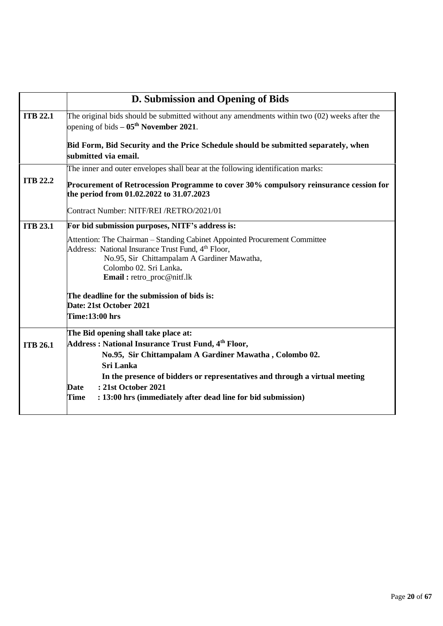|                 | D. Submission and Opening of Bids                                                                                                                                                                                                                         |
|-----------------|-----------------------------------------------------------------------------------------------------------------------------------------------------------------------------------------------------------------------------------------------------------|
| <b>ITB 22.1</b> | The original bids should be submitted without any amendments within two $(02)$ weeks after the<br>opening of bids $-05th$ November 2021.                                                                                                                  |
|                 | Bid Form, Bid Security and the Price Schedule should be submitted separately, when<br>submitted via email.                                                                                                                                                |
|                 | The inner and outer envelopes shall bear at the following identification marks:                                                                                                                                                                           |
| <b>ITB 22.2</b> | Procurement of Retrocession Programme to cover 30% compulsory reinsurance cession for<br>the period from 01.02.2022 to 31.07.2023                                                                                                                         |
|                 | Contract Number: NITF/REI /RETRO/2021/01                                                                                                                                                                                                                  |
| <b>ITB 23.1</b> | For bid submission purposes, NITF's address is:                                                                                                                                                                                                           |
|                 | Attention: The Chairman – Standing Cabinet Appointed Procurement Committee<br>Address: National Insurance Trust Fund, 4 <sup>th</sup> Floor,<br>No.95, Sir Chittampalam A Gardiner Mawatha,<br>Colombo 02. Sri Lanka.<br><b>Email:</b> retro_proc@nitf.lk |
|                 | The deadline for the submission of bids is:                                                                                                                                                                                                               |
|                 | Date: 21st October 2021<br><b>Time:13:00 hrs</b>                                                                                                                                                                                                          |
|                 |                                                                                                                                                                                                                                                           |
| <b>ITB 26.1</b> | The Bid opening shall take place at:<br>Address: National Insurance Trust Fund, 4 <sup>th</sup> Floor,<br>No.95, Sir Chittampalam A Gardiner Mawatha, Colombo 02.<br><b>Sri Lanka</b>                                                                     |
|                 | In the presence of bidders or representatives and through a virtual meeting                                                                                                                                                                               |
|                 | : 21st October 2021<br><b>Date</b>                                                                                                                                                                                                                        |
|                 | <b>Time</b><br>: 13:00 hrs (immediately after dead line for bid submission)                                                                                                                                                                               |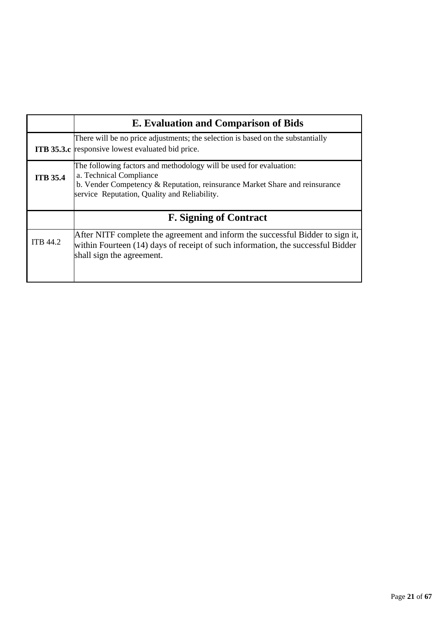|                 | <b>E.</b> Evaluation and Comparison of Bids                                                                                                                                                                                  |
|-----------------|------------------------------------------------------------------------------------------------------------------------------------------------------------------------------------------------------------------------------|
|                 | There will be no price adjustments; the selection is based on the substantially<br><b>ITB 35.3.c</b> responsive lowest evaluated bid price.                                                                                  |
| <b>ITB 35.4</b> | The following factors and methodology will be used for evaluation:<br>a. Technical Compliance<br>b. Vender Competency & Reputation, reinsurance Market Share and reinsurance<br>service Reputation, Quality and Reliability. |
|                 | <b>F. Signing of Contract</b>                                                                                                                                                                                                |
| <b>ITB 44.2</b> | After NITF complete the agreement and inform the successful Bidder to sign it,<br>within Fourteen (14) days of receipt of such information, the successful Bidder<br>shall sign the agreement.                               |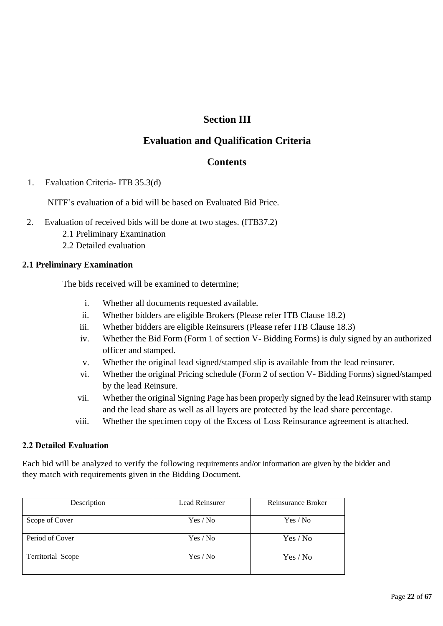# **Section III**

# **Evaluation and Qualification Criteria**

# **Contents**

1. Evaluation Criteria- ITB 35.3(d)

NITF's evaluation of a bid will be based on Evaluated Bid Price.

- 2. Evaluation of received bids will be done at two stages. (ITB37.2)
	- 2.1 Preliminary Examination
	- 2.2 Detailed evaluation

# **2.1 Preliminary Examination**

The bids received will be examined to determine;

- i. Whether all documents requested available.
- ii. Whether bidders are eligible Brokers (Please refer ITB Clause 18.2)
- iii. Whether bidders are eligible Reinsurers (Please refer ITB Clause 18.3)
- iv. Whether the Bid Form (Form 1 of section V- Bidding Forms) is duly signed by an authorized officer and stamped.
- v. Whether the original lead signed/stamped slip is available from the lead reinsurer.
- vi. Whether the original Pricing schedule (Form 2 of section V- Bidding Forms) signed/stamped by the lead Reinsure.
- vii. Whether the original Signing Page has been properly signed by the lead Reinsurer with stamp and the lead share as well as all layers are protected by the lead share percentage.
- viii. Whether the specimen copy of the Excess of Loss Reinsurance agreement is attached.

# **2.2 Detailed Evaluation**

Each bid will be analyzed to verify the following requirements and/or information are given by the bidder and they match with requirements given in the Bidding Document.

| Description       | Lead Reinsurer | Reinsurance Broker |
|-------------------|----------------|--------------------|
| Scope of Cover    | Yes / No       | Yes / No           |
| Period of Cover   | Yes / No       | Yes / No           |
| Territorial Scope | Yes / No       | Yes / No           |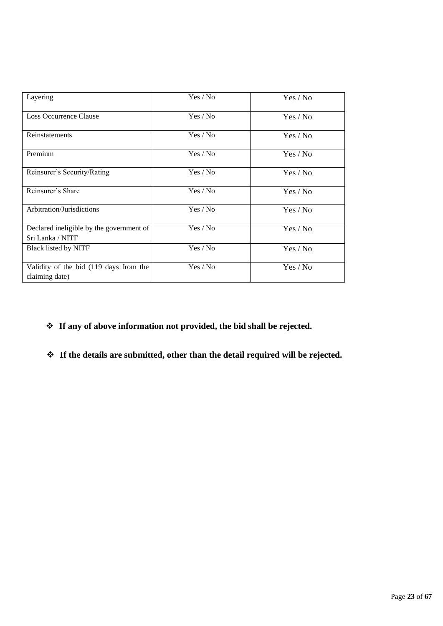| Layering                                                     | Yes / No | Yes / No |
|--------------------------------------------------------------|----------|----------|
| Loss Occurrence Clause                                       | Yes / No | Yes / No |
| Reinstatements                                               | Yes / No | Yes / No |
| Premium                                                      | Yes / No | Yes / No |
| Reinsurer's Security/Rating                                  | Yes / No | Yes / No |
| Reinsurer's Share                                            | Yes / No | Yes / No |
| Arbitration/Jurisdictions                                    | Yes / No | Yes / No |
| Declared ineligible by the government of<br>Sri Lanka / NITF | Yes / No | Yes / No |
| <b>Black listed by NITF</b>                                  | Yes / No | Yes / No |
| Validity of the bid (119 days from the<br>claiming date)     | Yes / No | Yes / No |

- ❖ **If any of above information not provided, the bid shall be rejected.**
- ❖ **If the details are submitted, other than the detail required will be rejected.**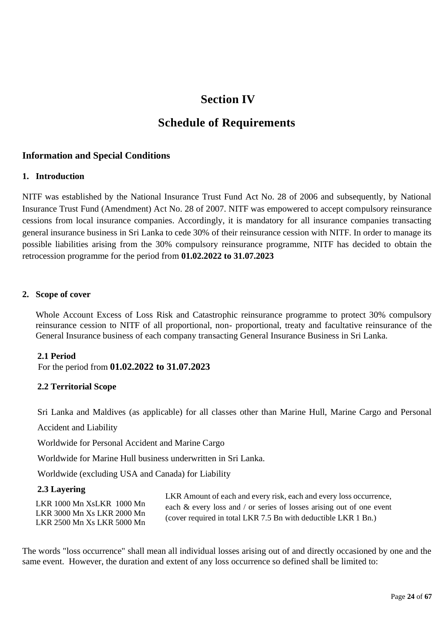# **Section IV**

# **Schedule of Requirements**

# **Information and Special Conditions**

# **1. Introduction**

NITF was established by the National Insurance Trust Fund Act No. 28 of 2006 and subsequently, by National Insurance Trust Fund (Amendment) Act No. 28 of 2007. NITF was empowered to accept compulsory reinsurance cessions from local insurance companies. Accordingly, it is mandatory for all insurance companies transacting general insurance business in Sri Lanka to cede 30% of their reinsurance cession with NITF. In order to manage its possible liabilities arising from the 30% compulsory reinsurance programme, NITF has decided to obtain the retrocession programme for the period from **01.02.2022 to 31.07.2023**

# **2. Scope of cover**

Whole Account Excess of Loss Risk and Catastrophic reinsurance programme to protect 30% compulsory reinsurance cession to NITF of all proportional, non- proportional, treaty and facultative reinsurance of the General Insurance business of each company transacting General Insurance Business in Sri Lanka.

# **2.1 Period**

For the period from **01.02.2022 to 31.07.2023**

# **2.2 Territorial Scope**

Sri Lanka and Maldives (as applicable) for all classes other than Marine Hull, Marine Cargo and Personal

Accident and Liability

Worldwide for Personal Accident and Marine Cargo

Worldwide for Marine Hull business underwritten in Sri Lanka.

Worldwide (excluding USA and Canada) for Liability

# **2.3 Layering**

LKR 1000 Mn XsLKR 1000 Mn LKR 3000 Mn Xs LKR 2000 Mn LKR 2500 Mn Xs LKR 5000 Mn

LKR Amount of each and every risk, each and every loss occurrence, each & every loss and / or series of losses arising out of one event (cover required in total LKR 7.5 Bn with deductible LKR 1 Bn.)

The words "loss occurrence" shall mean all individual losses arising out of and directly occasioned by one and the same event. However, the duration and extent of any loss occurrence so defined shall be limited to: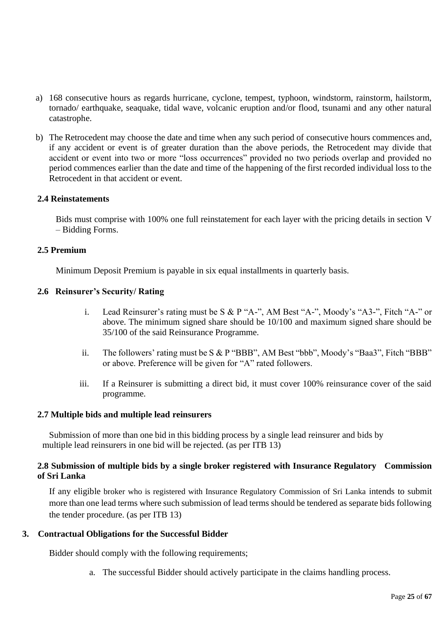- a) 168 consecutive hours as regards hurricane, cyclone, tempest, typhoon, windstorm, rainstorm, hailstorm, tornado/ earthquake, seaquake, tidal wave, volcanic eruption and/or flood, tsunami and any other natural catastrophe.
- b) The Retrocedent may choose the date and time when any such period of consecutive hours commences and, if any accident or event is of greater duration than the above periods, the Retrocedent may divide that accident or event into two or more "loss occurrences" provided no two periods overlap and provided no period commences earlier than the date and time of the happening of the first recorded individual loss to the Retrocedent in that accident or event.

# **2.4 Reinstatements**

Bids must comprise with 100% one full reinstatement for each layer with the pricing details in section V – Bidding Forms.

### **2.5 Premium**

Minimum Deposit Premium is payable in six equal installments in quarterly basis.

### **2.6 Reinsurer's Security/ Rating**

- i. Lead Reinsurer's rating must be S & P "A-", AM Best "A-", Moody's "A3-", Fitch "A-" or above. The minimum signed share should be 10/100 and maximum signed share should be 35/100 of the said Reinsurance Programme.
- ii. The followers' rating must be S & P "BBB", AM Best "bbb", Moody's "Baa3", Fitch "BBB" or above. Preference will be given for "A" rated followers.
- iii. If a Reinsurer is submitting a direct bid, it must cover 100% reinsurance cover of the said programme.

### **2.7 Multiple bids and multiple lead reinsurers**

 Submission of more than one bid in this bidding process by a single lead reinsurer and bids by multiple lead reinsurers in one bid will be rejected. (as per ITB 13)

# **2.8 Submission of multiple bids by a single broker registered with Insurance Regulatory Commission of Sri Lanka**

If any eligible broker who is registered with Insurance Regulatory Commission of Sri Lanka intends to submit more than one lead terms where such submission of lead terms should be tendered as separate bids following the tender procedure. (as per ITB 13)

# **3. Contractual Obligations for the Successful Bidder**

Bidder should comply with the following requirements;

a. The successful Bidder should actively participate in the claims handling process.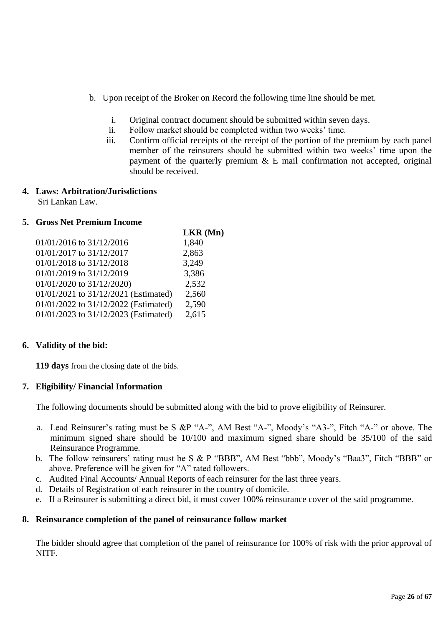- b. Upon receipt of the Broker on Record the following time line should be met.
	- i. Original contract document should be submitted within seven days.
	- ii. Follow market should be completed within two weeks' time.
	- iii. Confirm official receipts of the receipt of the portion of the premium by each panel member of the reinsurers should be submitted within two weeks' time upon the payment of the quarterly premium  $\&$  E mail confirmation not accepted, original should be received.

# **4. Laws: Arbitration/Jurisdictions**

Sri Lankan Law.

# **5. Gross Net Premium Income**

|                                      | $LKR$ (Mn) |
|--------------------------------------|------------|
| $01/01/2016$ to $31/12/2016$         | 1,840      |
| 01/01/2017 to 31/12/2017             | 2,863      |
| 01/01/2018 to 31/12/2018             | 3,249      |
| 01/01/2019 to 31/12/2019             | 3,386      |
| $01/01/2020$ to $31/12/2020$ )       | 2,532      |
| 01/01/2021 to 31/12/2021 (Estimated) | 2,560      |
| 01/01/2022 to 31/12/2022 (Estimated) | 2,590      |
| 01/01/2023 to 31/12/2023 (Estimated) | 2,615      |

# **6. Validity of the bid:**

**119 days** from the closing date of the bids.

# **7. Eligibility/ Financial Information**

The following documents should be submitted along with the bid to prove eligibility of Reinsurer.

- a. Lead Reinsurer's rating must be S &P "A-", AM Best "A-", Moody's "A3-", Fitch "A-" or above. The minimum signed share should be 10/100 and maximum signed share should be 35/100 of the said Reinsurance Programme.
- b. The follow reinsurers' rating must be S & P "BBB", AM Best "bbb", Moody's "Baa3", Fitch "BBB" or above. Preference will be given for "A" rated followers.
- c. Audited Final Accounts/ Annual Reports of each reinsurer for the last three years.
- d. Details of Registration of each reinsurer in the country of domicile.
- e. If a Reinsurer is submitting a direct bid, it must cover 100% reinsurance cover of the said programme.

# **8. Reinsurance completion of the panel of reinsurance follow market**

The bidder should agree that completion of the panel of reinsurance for 100% of risk with the prior approval of NITF.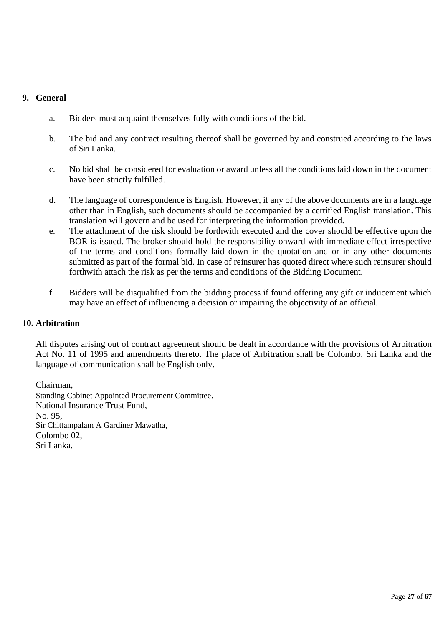# **9. General**

- a. Bidders must acquaint themselves fully with conditions of the bid.
- b. The bid and any contract resulting thereof shall be governed by and construed according to the laws of Sri Lanka.
- c. No bid shall be considered for evaluation or award unless all the conditions laid down in the document have been strictly fulfilled.
- d. The language of correspondence is English. However, if any of the above documents are in a language other than in English, such documents should be accompanied by a certified English translation. This translation will govern and be used for interpreting the information provided.
- e. The attachment of the risk should be forthwith executed and the cover should be effective upon the BOR is issued. The broker should hold the responsibility onward with immediate effect irrespective of the terms and conditions formally laid down in the quotation and or in any other documents submitted as part of the formal bid. In case of reinsurer has quoted direct where such reinsurer should forthwith attach the risk as per the terms and conditions of the Bidding Document.
- f. Bidders will be disqualified from the bidding process if found offering any gift or inducement which may have an effect of influencing a decision or impairing the objectivity of an official.

# **10. Arbitration**

All disputes arising out of contract agreement should be dealt in accordance with the provisions of Arbitration Act No. 11 of 1995 and amendments thereto. The place of Arbitration shall be Colombo, Sri Lanka and the language of communication shall be English only.

Chairman, Standing Cabinet Appointed Procurement Committee. National Insurance Trust Fund, No. 95, Sir Chittampalam A Gardiner Mawatha, Colombo 02, Sri Lanka.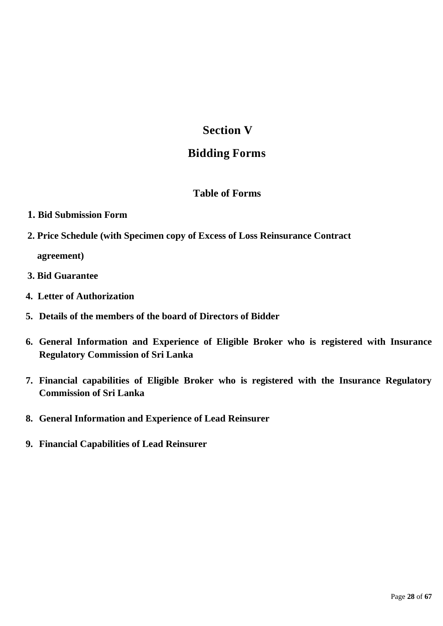# **Section V**

# **Bidding Forms**

# **Table of Forms**

- **1. Bid Submission Form**
- **2. Price Schedule (with Specimen copy of Excess of Loss Reinsurance Contract**

 **agreement)**

- **3. Bid Guarantee**
- **4. Letter of Authorization**
- **5. Details of the members of the board of Directors of Bidder**
- **6. General Information and Experience of Eligible Broker who is registered with Insurance Regulatory Commission of Sri Lanka**
- **7. Financial capabilities of Eligible Broker who is registered with the Insurance Regulatory Commission of Sri Lanka**
- **8. General Information and Experience of Lead Reinsurer**
- **9. Financial Capabilities of Lead Reinsurer**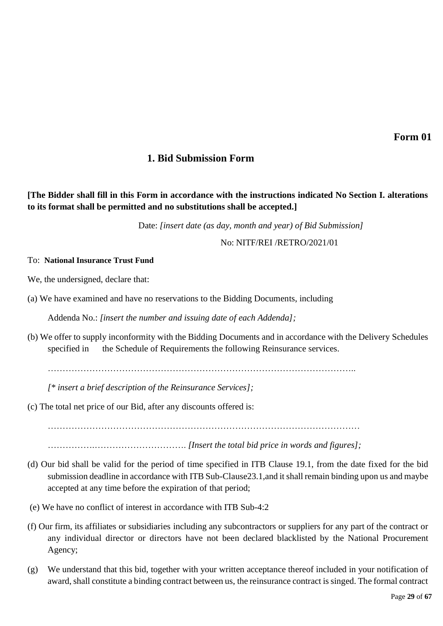# **1. Bid Submission Form**

# **[The Bidder shall fill in this Form in accordance with the instructions indicated No Section I. alterations to its format shall be permitted and no substitutions shall be accepted.]**

Date: *[insert date (as day, month and year) of Bid Submission]*

No: NITF/REI /RETRO/2021/01

### To: **National Insurance Trust Fund**

We, the undersigned, declare that:

(a) We have examined and have no reservations to the Bidding Documents, including

Addenda No.: *[insert the number and issuing date of each Addenda];*

(b) We offer to supply inconformity with the Bidding Documents and in accordance with the Delivery Schedules specified in the Schedule of Requirements the following Reinsurance services.

…………………………………………………………………………………………..

*[\* insert a brief description of the Reinsurance Services];*

(c) The total net price of our Bid, after any discounts offered is:

……………………………………………………………………………………………

…………….…………………………. *[Insert the total bid price in words and figures];*

- (d) Our bid shall be valid for the period of time specified in ITB Clause 19.1, from the date fixed for the bid submission deadline in accordance with ITB Sub-Clause23.1,and it shall remain binding upon us and maybe accepted at any time before the expiration of that period;
- (e) We have no conflict of interest in accordance with ITB Sub-4:2
- (f) Our firm, its affiliates or subsidiaries including any subcontractors or suppliers for any part of the contract or any individual director or directors have not been declared blacklisted by the National Procurement Agency;
- (g) We understand that this bid, together with your written acceptance thereof included in your notification of award, shall constitute a binding contract between us, the reinsurance contract is singed. The formal contract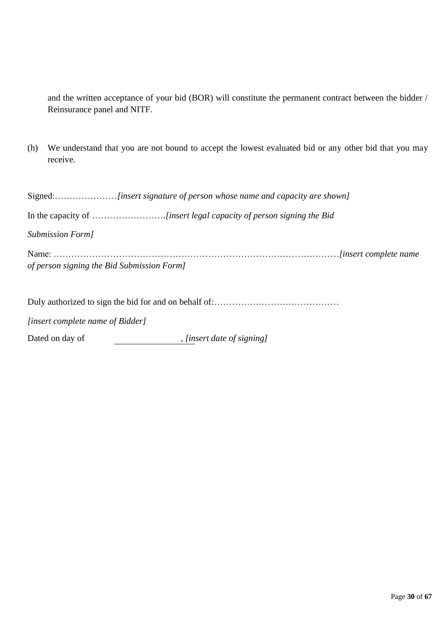and the written acceptance of your bid (BOR) will constitute the permanent contract between the bidder / Reinsurance panel and NITF.

(h) We understand that you are not bound to accept the lowest evaluated bid or any other bid that you may receive.

| Submission Form]                           |  |
|--------------------------------------------|--|
| of person signing the Bid Submission Form] |  |

Duly authorized to sign the bid for and on behalf of:……………………………………

*[insert complete name of Bidder]*

Dated on day of  $\qquad \qquad$  , *[insert date of signing]*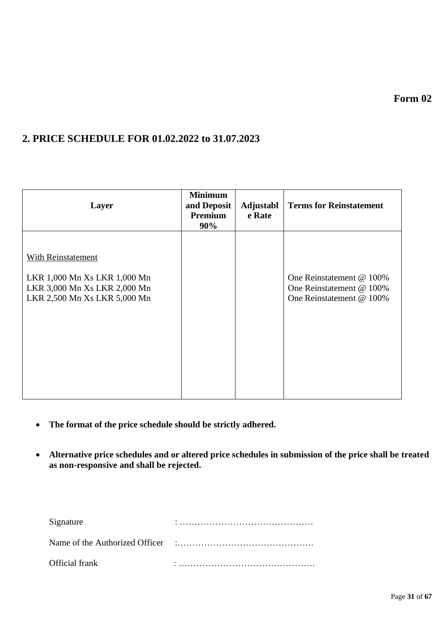**Form 02**

# **2. PRICE SCHEDULE FOR 01.02.2022 to 31.07.2023**

| Layer                                                                                                              | <b>Minimum</b><br>and Deposit<br>Premium<br>90% | Adjustabl<br>e Rate | <b>Terms for Reinstatement</b>                                                   |
|--------------------------------------------------------------------------------------------------------------------|-------------------------------------------------|---------------------|----------------------------------------------------------------------------------|
| With Reinstatement<br>LKR 1,000 Mn Xs LKR 1,000 Mn<br>LKR 3,000 Mn Xs LKR 2,000 Mn<br>LKR 2,500 Mn Xs LKR 5,000 Mn |                                                 |                     | One Reinstatement @ 100%<br>One Reinstatement @ 100%<br>One Reinstatement @ 100% |

- **The format of the price schedule should be strictly adhered.**
- **Alternative price schedules and or altered price schedules in submission of the price shall be treated as non-responsive and shall be rejected.**

| Signature      |  |
|----------------|--|
|                |  |
| Official frank |  |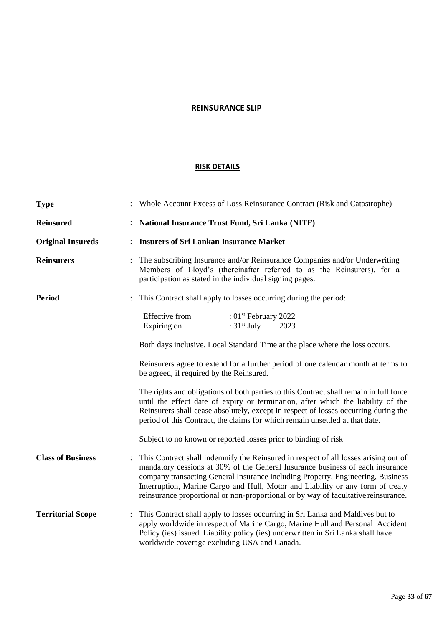### **REINSURANCE SLIP**

### **RISK DETAILS**

| <b>Type</b>              | Whole Account Excess of Loss Reinsurance Contract (Risk and Catastrophe)                                                                                                                                                                                                                                                                                                                                                        |  |  |  |
|--------------------------|---------------------------------------------------------------------------------------------------------------------------------------------------------------------------------------------------------------------------------------------------------------------------------------------------------------------------------------------------------------------------------------------------------------------------------|--|--|--|
| <b>Reinsured</b>         | <b>National Insurance Trust Fund, Sri Lanka (NITF)</b>                                                                                                                                                                                                                                                                                                                                                                          |  |  |  |
| <b>Original Insureds</b> | <b>Insurers of Sri Lankan Insurance Market</b>                                                                                                                                                                                                                                                                                                                                                                                  |  |  |  |
| <b>Reinsurers</b>        | The subscribing Insurance and/or Reinsurance Companies and/or Underwriting<br>Members of Lloyd's (thereinafter referred to as the Reinsurers), for a<br>participation as stated in the individual signing pages.                                                                                                                                                                                                                |  |  |  |
| <b>Period</b>            | This Contract shall apply to losses occurring during the period:                                                                                                                                                                                                                                                                                                                                                                |  |  |  |
|                          | Effective from<br>: $01st$ February 2022<br>: $31st$ July<br>Expiring on<br>2023                                                                                                                                                                                                                                                                                                                                                |  |  |  |
|                          | Both days inclusive, Local Standard Time at the place where the loss occurs.                                                                                                                                                                                                                                                                                                                                                    |  |  |  |
|                          | Reinsurers agree to extend for a further period of one calendar month at terms to<br>be agreed, if required by the Reinsured.                                                                                                                                                                                                                                                                                                   |  |  |  |
|                          | The rights and obligations of both parties to this Contract shall remain in full force<br>until the effect date of expiry or termination, after which the liability of the<br>Reinsurers shall cease absolutely, except in respect of losses occurring during the<br>period of this Contract, the claims for which remain unsettled at that date.                                                                               |  |  |  |
|                          | Subject to no known or reported losses prior to binding of risk                                                                                                                                                                                                                                                                                                                                                                 |  |  |  |
| <b>Class of Business</b> | This Contract shall indemnify the Reinsured in respect of all losses arising out of<br>mandatory cessions at 30% of the General Insurance business of each insurance<br>company transacting General Insurance including Property, Engineering, Business<br>Interruption, Marine Cargo and Hull, Motor and Liability or any form of treaty<br>reinsurance proportional or non-proportional or by way of facultative reinsurance. |  |  |  |
| <b>Territorial Scope</b> | This Contract shall apply to losses occurring in Sri Lanka and Maldives but to<br>apply worldwide in respect of Marine Cargo, Marine Hull and Personal Accident<br>Policy (ies) issued. Liability policy (ies) underwritten in Sri Lanka shall have<br>worldwide coverage excluding USA and Canada.                                                                                                                             |  |  |  |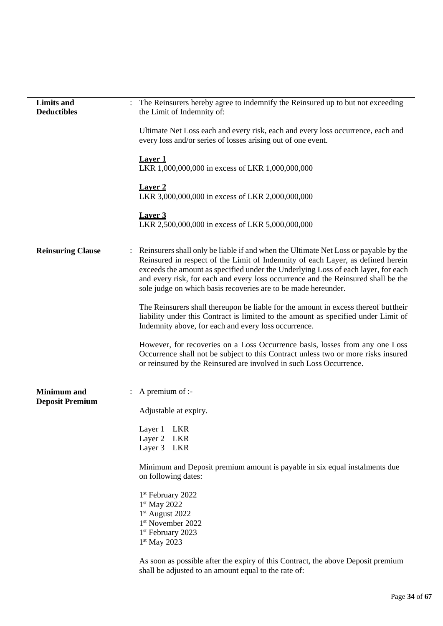| <b>Limits and</b><br><b>Deductibles</b>      | The Reinsurers hereby agree to indemnify the Reinsured up to but not exceeding<br>the Limit of Indemnity of: |                                                                                                                                                                                                                                                                                                                                                                                                                    |  |  |
|----------------------------------------------|--------------------------------------------------------------------------------------------------------------|--------------------------------------------------------------------------------------------------------------------------------------------------------------------------------------------------------------------------------------------------------------------------------------------------------------------------------------------------------------------------------------------------------------------|--|--|
|                                              |                                                                                                              | Ultimate Net Loss each and every risk, each and every loss occurrence, each and<br>every loss and/or series of losses arising out of one event.                                                                                                                                                                                                                                                                    |  |  |
|                                              |                                                                                                              | <b>Laver 1</b><br>LKR 1,000,000,000 in excess of LKR 1,000,000,000                                                                                                                                                                                                                                                                                                                                                 |  |  |
|                                              |                                                                                                              | <b>Laver 2</b><br>LKR 3,000,000,000 in excess of LKR 2,000,000,000                                                                                                                                                                                                                                                                                                                                                 |  |  |
|                                              |                                                                                                              | <b>Laver 3</b><br>LKR 2,500,000,000 in excess of LKR 5,000,000,000                                                                                                                                                                                                                                                                                                                                                 |  |  |
| <b>Reinsuring Clause</b>                     |                                                                                                              | Reinsurers shall only be liable if and when the Ultimate Net Loss or payable by the<br>Reinsured in respect of the Limit of Indemnity of each Layer, as defined herein<br>exceeds the amount as specified under the Underlying Loss of each layer, for each<br>and every risk, for each and every loss occurrence and the Reinsured shall be the<br>sole judge on which basis recoveries are to be made hereunder. |  |  |
|                                              |                                                                                                              | The Reinsurers shall thereupon be liable for the amount in excess thereof but their<br>liability under this Contract is limited to the amount as specified under Limit of<br>Indemnity above, for each and every loss occurrence.                                                                                                                                                                                  |  |  |
|                                              |                                                                                                              | However, for recoveries on a Loss Occurrence basis, losses from any one Loss<br>Occurrence shall not be subject to this Contract unless two or more risks insured<br>or reinsured by the Reinsured are involved in such Loss Occurrence.                                                                                                                                                                           |  |  |
| <b>Minimum</b> and<br><b>Deposit Premium</b> |                                                                                                              | A premium of :-                                                                                                                                                                                                                                                                                                                                                                                                    |  |  |
|                                              |                                                                                                              | Adjustable at expiry.                                                                                                                                                                                                                                                                                                                                                                                              |  |  |
|                                              |                                                                                                              | Layer 1<br><b>LKR</b>                                                                                                                                                                                                                                                                                                                                                                                              |  |  |
|                                              |                                                                                                              | Layer 2 LKR<br>Layer 3 LKR                                                                                                                                                                                                                                                                                                                                                                                         |  |  |
|                                              |                                                                                                              |                                                                                                                                                                                                                                                                                                                                                                                                                    |  |  |
|                                              |                                                                                                              | Minimum and Deposit premium amount is payable in six equal instalments due<br>on following dates:                                                                                                                                                                                                                                                                                                                  |  |  |
|                                              |                                                                                                              | 1 <sup>st</sup> February 2022<br>$1st$ May 2022<br>1 <sup>st</sup> August 2022<br>1 <sup>st</sup> November 2022<br>1 <sup>st</sup> February 2023                                                                                                                                                                                                                                                                   |  |  |
|                                              |                                                                                                              | $1st$ May 2023                                                                                                                                                                                                                                                                                                                                                                                                     |  |  |
|                                              |                                                                                                              | As soon as possible after the expiry of this Contract, the above Deposit premium                                                                                                                                                                                                                                                                                                                                   |  |  |

shall be adjusted to an amount equal to the rate of: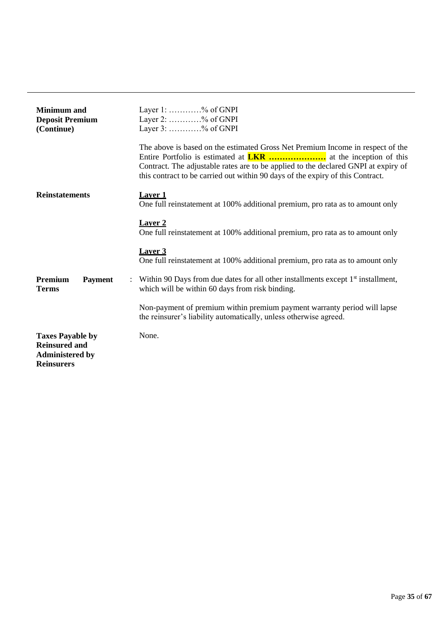| <b>Minimum</b> and<br><b>Deposit Premium</b><br>(Continue)                                     | Layer $1: \ldots \ldots \ldots \ldots \%$ of GNPI<br>Layer 2: % of GNPI<br>Layer $3:$ % of GNPI                                                                                                                                                        |
|------------------------------------------------------------------------------------------------|--------------------------------------------------------------------------------------------------------------------------------------------------------------------------------------------------------------------------------------------------------|
|                                                                                                | The above is based on the estimated Gross Net Premium Income in respect of the<br>Contract. The adjustable rates are to be applied to the declared GNPI at expiry of<br>this contract to be carried out within 90 days of the expiry of this Contract. |
| <b>Reinstatements</b>                                                                          | <b>Laver 1</b><br>One full reinstatement at 100% additional premium, pro rata as to amount only                                                                                                                                                        |
|                                                                                                | <b>Laver 2</b><br>One full reinstatement at 100% additional premium, pro rata as to amount only                                                                                                                                                        |
|                                                                                                | Laver 3<br>One full reinstatement at 100% additional premium, pro rata as to amount only                                                                                                                                                               |
| Premium<br><b>Payment</b><br><b>Terms</b>                                                      | : Within 90 Days from due dates for all other installments except $1st$ installment,<br>which will be within 60 days from risk binding.                                                                                                                |
|                                                                                                | Non-payment of premium within premium payment warranty period will lapse<br>the reinsurer's liability automatically, unless otherwise agreed.                                                                                                          |
| <b>Taxes Payable by</b><br><b>Reinsured and</b><br><b>Administered by</b><br><b>Reinsurers</b> | None.                                                                                                                                                                                                                                                  |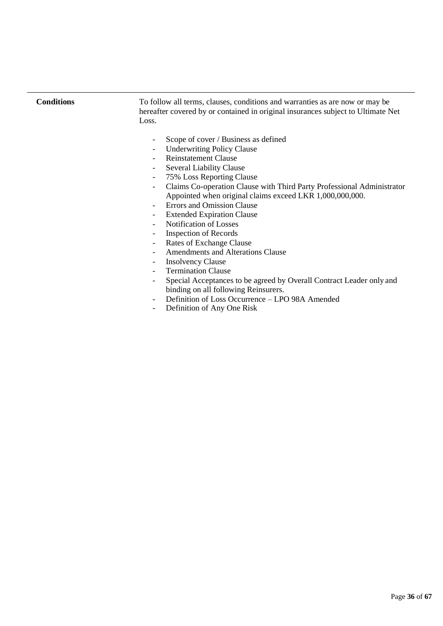**Conditions** To follow all terms, clauses, conditions and warranties as are now or may be hereafter covered by or contained in original insurances subject to Ultimate Net Loss.

- Scope of cover / Business as defined
- Underwriting Policy Clause
- Reinstatement Clause
- Several Liability Clause
- 75% Loss Reporting Clause
- Claims Co-operation Clause with Third Party Professional Administrator Appointed when original claims exceed LKR 1,000,000,000.
- Errors and Omission Clause
- Extended Expiration Clause
- Notification of Losses
- Inspection of Records
- Rates of Exchange Clause
- Amendments and Alterations Clause
- Insolvency Clause
- Termination Clause
- Special Acceptances to be agreed by Overall Contract Leader only and binding on all following Reinsurers.
- Definition of Loss Occurrence LPO 98A Amended
- Definition of Any One Risk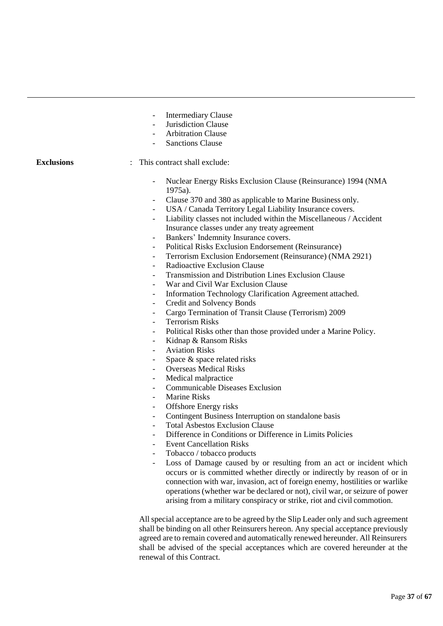- Intermediary Clause
- Jurisdiction Clause
- Arbitration Clause
- Sanctions Clause

#### **Exclusions** : This contract shall exclude:

- Nuclear Energy Risks Exclusion Clause (Reinsurance) 1994 (NMA 1975a).
- Clause 370 and 380 as applicable to Marine Business only.
- USA / Canada Territory Legal Liability Insurance covers.
- Liability classes not included within the Miscellaneous / Accident Insurance classes under any treaty agreement
- Bankers' Indemnity Insurance covers.
- Political Risks Exclusion Endorsement (Reinsurance)
- Terrorism Exclusion Endorsement (Reinsurance) (NMA 2921)
- Radioactive Exclusion Clause
- Transmission and Distribution Lines Exclusion Clause
- War and Civil War Exclusion Clause
- Information Technology Clarification Agreement attached.
- Credit and Solvency Bonds
- Cargo Termination of Transit Clause (Terrorism) 2009
- Terrorism Risks
- Political Risks other than those provided under a Marine Policy.
- Kidnap & Ransom Risks
- Aviation Risks
- Space & space related risks
- Overseas Medical Risks
- Medical malpractice
- Communicable Diseases Exclusion
- Marine Risks
- Offshore Energy risks
- Contingent Business Interruption on standalone basis
- Total Asbestos Exclusion Clause
- Difference in Conditions or Difference in Limits Policies
- **Event Cancellation Risks**
- Tobacco / tobacco products
- Loss of Damage caused by or resulting from an act or incident which occurs or is committed whether directly or indirectly by reason of or in connection with war, invasion, act of foreign enemy, hostilities or warlike operations (whether war be declared or not), civil war, or seizure of power arising from a military conspiracy or strike, riot and civil commotion.

All special acceptance are to be agreed by the Slip Leader only and such agreement shall be binding on all other Reinsurers hereon. Any special acceptance previously agreed are to remain covered and automatically renewed hereunder. All Reinsurers shall be advised of the special acceptances which are covered hereunder at the renewal of this Contract.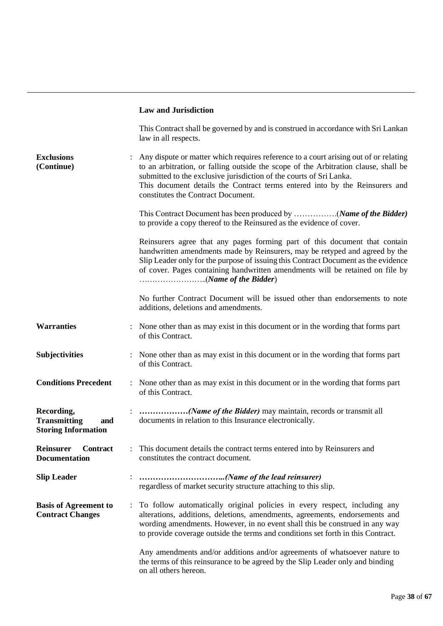### **Law and Jurisdiction**

|                                                                        |                      | This Contract shall be governed by and is construed in accordance with Sri Lankan<br>law in all respects.                                                                                                                                                                                                                                                               |
|------------------------------------------------------------------------|----------------------|-------------------------------------------------------------------------------------------------------------------------------------------------------------------------------------------------------------------------------------------------------------------------------------------------------------------------------------------------------------------------|
| <b>Exclusions</b><br>(Continue)                                        |                      | Any dispute or matter which requires reference to a court arising out of or relating<br>to an arbitration, or falling outside the scope of the Arbitration clause, shall be<br>submitted to the exclusive jurisdiction of the courts of Sri Lanka.<br>This document details the Contract terms entered into by the Reinsurers and<br>constitutes the Contract Document. |
|                                                                        |                      | to provide a copy thereof to the Reinsured as the evidence of cover.                                                                                                                                                                                                                                                                                                    |
|                                                                        |                      | Reinsurers agree that any pages forming part of this document that contain<br>handwritten amendments made by Reinsurers, may be retyped and agreed by the<br>Slip Leader only for the purpose of issuing this Contract Document as the evidence<br>of cover. Pages containing handwritten amendments will be retained on file by                                        |
|                                                                        |                      | No further Contract Document will be issued other than endorsements to note<br>additions, deletions and amendments.                                                                                                                                                                                                                                                     |
| <b>Warranties</b>                                                      |                      | None other than as may exist in this document or in the wording that forms part<br>of this Contract.                                                                                                                                                                                                                                                                    |
| <b>Subjectivities</b>                                                  |                      | None other than as may exist in this document or in the wording that forms part<br>of this Contract.                                                                                                                                                                                                                                                                    |
| <b>Conditions Precedent</b>                                            |                      | : None other than as may exist in this document or in the wording that forms part<br>of this Contract.                                                                                                                                                                                                                                                                  |
| Recording,<br><b>Transmitting</b><br>and<br><b>Storing Information</b> |                      | documents in relation to this Insurance electronically.                                                                                                                                                                                                                                                                                                                 |
| Reinsurer<br><b>Contract</b><br><b>Documentation</b>                   |                      | : This document details the contract terms entered into by Reinsurers and<br>constitutes the contract document.                                                                                                                                                                                                                                                         |
| <b>Slip Leader</b>                                                     |                      | (Name of the lead reinsurer)<br>regardless of market security structure attaching to this slip.                                                                                                                                                                                                                                                                         |
| <b>Basis of Agreement to</b><br><b>Contract Changes</b>                | $\ddot{\phantom{a}}$ | To follow automatically original policies in every respect, including any<br>alterations, additions, deletions, amendments, agreements, endorsements and<br>wording amendments. However, in no event shall this be construed in any way<br>to provide coverage outside the terms and conditions set forth in this Contract.                                             |
|                                                                        |                      | Any amendments and/or additions and/or agreements of whatsoever nature to<br>the terms of this reinsurance to be agreed by the Slip Leader only and binding<br>on all others hereon.                                                                                                                                                                                    |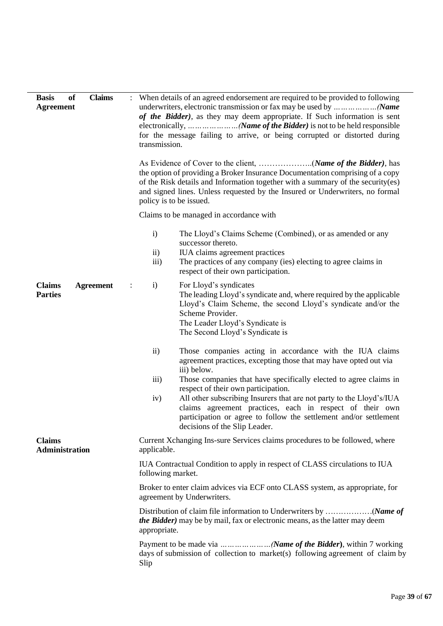| <b>Claims</b><br>of<br><b>Basis</b><br><b>Agreement</b> | When details of an agreed endorsement are required to be provided to following<br>of the Bidder), as they may deem appropriate. If Such information is sent<br>electronically,        (Name of the Bidder) is not to be held responsible<br>for the message failing to arrive, or being corrupted or distorted during<br>transmission.                                                                                                                                                                                                |  |
|---------------------------------------------------------|---------------------------------------------------------------------------------------------------------------------------------------------------------------------------------------------------------------------------------------------------------------------------------------------------------------------------------------------------------------------------------------------------------------------------------------------------------------------------------------------------------------------------------------|--|
|                                                         | the option of providing a Broker Insurance Documentation comprising of a copy<br>of the Risk details and Information together with a summary of the security(es)<br>and signed lines. Unless requested by the Insured or Underwriters, no formal<br>policy is to be issued.                                                                                                                                                                                                                                                           |  |
|                                                         | Claims to be managed in accordance with                                                                                                                                                                                                                                                                                                                                                                                                                                                                                               |  |
|                                                         | $\mathbf{i}$<br>The Lloyd's Claims Scheme (Combined), or as amended or any<br>successor thereto.<br>IUA claims agreement practices<br>$\mathbf{ii}$<br>The practices of any company (ies) electing to agree claims in<br>iii)<br>respect of their own participation.                                                                                                                                                                                                                                                                  |  |
| <b>Claims</b><br><b>Agreement</b><br><b>Parties</b>     | For Lloyd's syndicates<br>$\mathbf{i}$<br>The leading Lloyd's syndicate and, where required by the applicable<br>Lloyd's Claim Scheme, the second Lloyd's syndicate and/or the<br>Scheme Provider.<br>The Leader Lloyd's Syndicate is<br>The Second Lloyd's Syndicate is                                                                                                                                                                                                                                                              |  |
|                                                         | $\overline{ii}$ )<br>Those companies acting in accordance with the IUA claims<br>agreement practices, excepting those that may have opted out via<br>iii) below.<br>iii)<br>Those companies that have specifically elected to agree claims in<br>respect of their own participation.<br>All other subscribing Insurers that are not party to the Lloyd's/IUA<br>iv)<br>claims agreement practices, each in respect of their own<br>participation or agree to follow the settlement and/or settlement<br>decisions of the Slip Leader. |  |
| <b>Claims</b><br><b>Administration</b>                  | Current Xchanging Ins-sure Services claims procedures to be followed, where<br>applicable.                                                                                                                                                                                                                                                                                                                                                                                                                                            |  |
|                                                         | IUA Contractual Condition to apply in respect of CLASS circulations to IUA<br>following market.                                                                                                                                                                                                                                                                                                                                                                                                                                       |  |
|                                                         | Broker to enter claim advices via ECF onto CLASS system, as appropriate, for<br>agreement by Underwriters.                                                                                                                                                                                                                                                                                                                                                                                                                            |  |
|                                                         | <i>the Bidder</i> ) may be by mail, fax or electronic means, as the latter may deem<br>appropriate.                                                                                                                                                                                                                                                                                                                                                                                                                                   |  |
|                                                         | days of submission of collection to market(s) following agreement of claim by<br>Slip                                                                                                                                                                                                                                                                                                                                                                                                                                                 |  |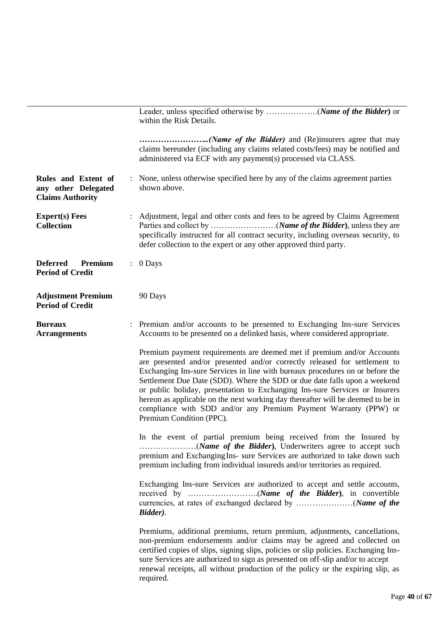|                                                                       | within the Risk Details.                                                                                                                                                                                                                                                                                                                                                                                                                                                                                                                                                             |
|-----------------------------------------------------------------------|--------------------------------------------------------------------------------------------------------------------------------------------------------------------------------------------------------------------------------------------------------------------------------------------------------------------------------------------------------------------------------------------------------------------------------------------------------------------------------------------------------------------------------------------------------------------------------------|
|                                                                       | ( <i>Name of the Bidder</i> ) and (Re)insurers agree that may<br>claims hereunder (including any claims related costs/fees) may be notified and<br>administered via ECF with any payment(s) processed via CLASS.                                                                                                                                                                                                                                                                                                                                                                     |
| Rules and Extent of<br>any other Delegated<br><b>Claims Authority</b> | : None, unless otherwise specified here by any of the claims agreement parties<br>shown above.                                                                                                                                                                                                                                                                                                                                                                                                                                                                                       |
| <b>Expert(s)</b> Fees<br><b>Collection</b>                            | Adjustment, legal and other costs and fees to be agreed by Claims Agreement<br>specifically instructed for all contract security, including overseas security, to<br>defer collection to the expert or any other approved third party.                                                                                                                                                                                                                                                                                                                                               |
| <b>Deferred</b><br>Premium<br><b>Period of Credit</b>                 | $: 0$ Days                                                                                                                                                                                                                                                                                                                                                                                                                                                                                                                                                                           |
| <b>Adjustment Premium</b><br><b>Period of Credit</b>                  | 90 Days                                                                                                                                                                                                                                                                                                                                                                                                                                                                                                                                                                              |
| <b>Bureaux</b><br><b>Arrangements</b>                                 | : Premium and/or accounts to be presented to Exchanging Ins-sure Services<br>Accounts to be presented on a delinked basis, where considered appropriate.                                                                                                                                                                                                                                                                                                                                                                                                                             |
|                                                                       | Premium payment requirements are deemed met if premium and/or Accounts<br>are presented and/or presented and/or correctly released for settlement to<br>Exchanging Ins-sure Services in line with bureaux procedures on or before the<br>Settlement Due Date (SDD). Where the SDD or due date falls upon a weekend<br>or public holiday, presentation to Exchanging Ins-sure Services or Insurers<br>hereon as applicable on the next working day thereafter will be deemed to be in<br>compliance with SDD and/or any Premium Payment Warranty (PPW) or<br>Premium Condition (PPC). |
|                                                                       | In the event of partial premium being received from the Insured by<br>premium and Exchanging Ins- sure Services are authorized to take down such<br>premium including from individual insureds and/or territories as required.                                                                                                                                                                                                                                                                                                                                                       |
|                                                                       | Exchanging Ins-sure Services are authorized to accept and settle accounts,<br>Bidder).                                                                                                                                                                                                                                                                                                                                                                                                                                                                                               |
|                                                                       | Premiums, additional premiums, return premium, adjustments, cancellations,<br>non-premium endorsements and/or claims may be agreed and collected on<br>certified copies of slips, signing slips, policies or slip policies. Exchanging Ins-<br>sure Services are authorized to sign as presented on off-slip and/or to accept<br>renewal receipts, all without production of the policy or the expiring slip, as<br>required.                                                                                                                                                        |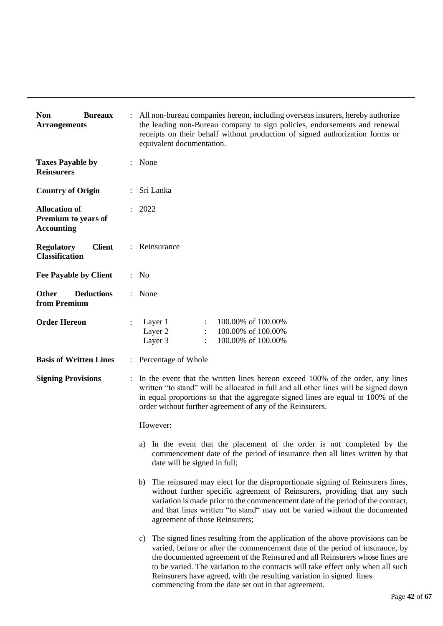| <b>Non</b><br><b>Bureaux</b><br><b>Arrangements</b>              |                      | All non-bureau companies hereon, including overseas insurers, hereby authorize<br>the leading non-Bureau company to sign policies, endorsements and renewal<br>receipts on their behalf without production of signed authorization forms or<br>equivalent documentation.                                                                                                                                                                                             |  |  |
|------------------------------------------------------------------|----------------------|----------------------------------------------------------------------------------------------------------------------------------------------------------------------------------------------------------------------------------------------------------------------------------------------------------------------------------------------------------------------------------------------------------------------------------------------------------------------|--|--|
| <b>Taxes Payable by</b><br><b>Reinsurers</b>                     | $\ddot{\phantom{0}}$ | None                                                                                                                                                                                                                                                                                                                                                                                                                                                                 |  |  |
| <b>Country of Origin</b>                                         |                      | Sri Lanka                                                                                                                                                                                                                                                                                                                                                                                                                                                            |  |  |
| <b>Allocation of</b><br>Premium to years of<br><b>Accounting</b> |                      | 2022                                                                                                                                                                                                                                                                                                                                                                                                                                                                 |  |  |
| <b>Client</b><br><b>Regulatory</b><br><b>Classification</b>      |                      | Reinsurance                                                                                                                                                                                                                                                                                                                                                                                                                                                          |  |  |
| <b>Fee Payable by Client</b>                                     |                      | : No                                                                                                                                                                                                                                                                                                                                                                                                                                                                 |  |  |
| <b>Deductions</b><br><b>Other</b><br>from Premium                |                      | None                                                                                                                                                                                                                                                                                                                                                                                                                                                                 |  |  |
| <b>Order Hereon</b>                                              |                      | Layer 1<br>100.00% of 100.00%<br>Layer 2<br>100.00% of 100.00%<br>Layer 3<br>100.00% of 100.00%                                                                                                                                                                                                                                                                                                                                                                      |  |  |
| <b>Basis of Written Lines</b>                                    | $\ddot{\phantom{a}}$ | Percentage of Whole                                                                                                                                                                                                                                                                                                                                                                                                                                                  |  |  |
| <b>Signing Provisions</b>                                        |                      | In the event that the written lines hereon exceed 100% of the order, any lines<br>written "to stand" will be allocated in full and all other lines will be signed down<br>in equal proportions so that the aggregate signed lines are equal to 100% of the<br>order without further agreement of any of the Reinsurers.                                                                                                                                              |  |  |
|                                                                  |                      | However:                                                                                                                                                                                                                                                                                                                                                                                                                                                             |  |  |
|                                                                  |                      | a) In the event that the placement of the order is not completed by the<br>commencement date of the period of insurance then all lines written by that<br>date will be signed in full;                                                                                                                                                                                                                                                                               |  |  |
|                                                                  |                      | The reinsured may elect for the disproportionate signing of Reinsurers lines,<br>b)<br>without further specific agreement of Reinsurers, providing that any such<br>variation is made prior to the commencement date of the period of the contract,<br>and that lines written "to stand" may not be varied without the documented<br>agreement of those Reinsurers;                                                                                                  |  |  |
|                                                                  |                      | c) The signed lines resulting from the application of the above provisions can be<br>varied, before or after the commencement date of the period of insurance, by<br>the documented agreement of the Reinsured and all Reinsurers whose lines are<br>to be varied. The variation to the contracts will take effect only when all such<br>Reinsurers have agreed, with the resulting variation in signed lines<br>commencing from the date set out in that agreement. |  |  |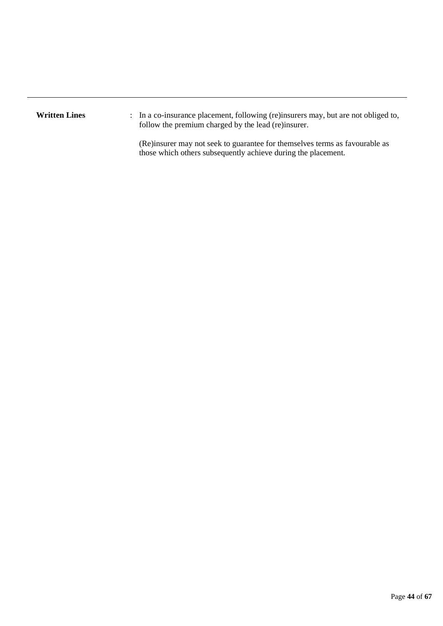Written Lines : In a co-insurance placement, following (re)insurers may, but are not obliged to, follow the premium charged by the lead (re)insurer.

> (Re)insurer may not seek to guarantee for themselves terms as favourable as those which others subsequently achieve during the placement.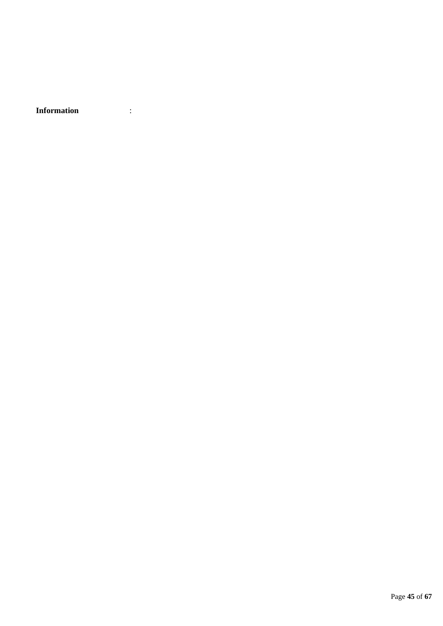**Information** :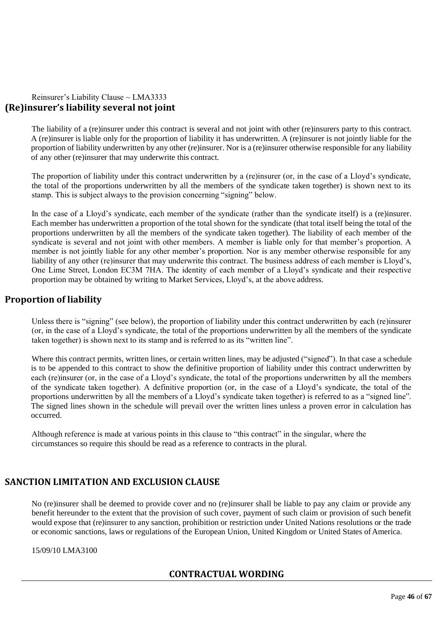# Reinsurer's Liability Clause ~ LMA3333 **(Re)insurer's liability several not joint**

The liability of a (re)insurer under this contract is several and not joint with other (re)insurers party to this contract. A (re)insurer is liable only for the proportion of liability it has underwritten. A (re)insurer is not jointly liable for the proportion of liability underwritten by any other (re)insurer. Nor is a (re)insurer otherwise responsible for any liability of any other (re)insurer that may underwrite this contract.

The proportion of liability under this contract underwritten by a (re)insurer (or, in the case of a Lloyd's syndicate, the total of the proportions underwritten by all the members of the syndicate taken together) is shown next to its stamp. This is subject always to the provision concerning "signing" below.

In the case of a Lloyd's syndicate, each member of the syndicate (rather than the syndicate itself) is a (re)insurer. Each member has underwritten a proportion of the total shown for the syndicate (that total itself being the total of the proportions underwritten by all the members of the syndicate taken together). The liability of each member of the syndicate is several and not joint with other members. A member is liable only for that member's proportion. A member is not jointly liable for any other member's proportion. Nor is any member otherwise responsible for any liability of any other (re)insurer that may underwrite this contract. The business address of each member is Lloyd's, One Lime Street, London EC3M 7HA. The identity of each member of a Lloyd's syndicate and their respective proportion may be obtained by writing to Market Services, Lloyd's, at the above address.

# **Proportion of liability**

Unless there is "signing" (see below), the proportion of liability under this contract underwritten by each (re)insurer (or, in the case of a Lloyd's syndicate, the total of the proportions underwritten by all the members of the syndicate taken together) is shown next to its stamp and is referred to as its "written line".

Where this contract permits, written lines, or certain written lines, may be adjusted ("signed"). In that case a schedule is to be appended to this contract to show the definitive proportion of liability under this contract underwritten by each (re)insurer (or, in the case of a Lloyd's syndicate, the total of the proportions underwritten by all the members of the syndicate taken together). A definitive proportion (or, in the case of a Lloyd's syndicate, the total of the proportions underwritten by all the members of a Lloyd's syndicate taken together) is referred to as a "signed line". The signed lines shown in the schedule will prevail over the written lines unless a proven error in calculation has occurred.

Although reference is made at various points in this clause to "this contract" in the singular, where the circumstances so require this should be read as a reference to contracts in the plural.

# **SANCTION LIMITATION AND EXCLUSION CLAUSE**

No (re)insurer shall be deemed to provide cover and no (re)insurer shall be liable to pay any claim or provide any benefit hereunder to the extent that the provision of such cover, payment of such claim or provision of such benefit would expose that (re)insurer to any sanction, prohibition or restriction under United Nations resolutions or the trade or economic sanctions, laws or regulations of the European Union, United Kingdom or United States ofAmerica.

# 15/09/10 LMA3100

# **CONTRACTUAL WORDING**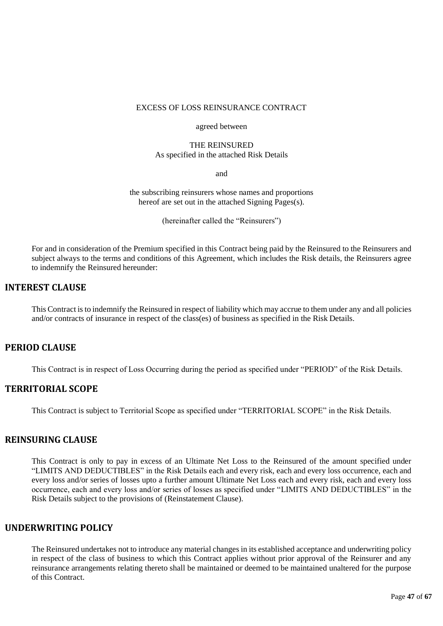#### EXCESS OF LOSS REINSURANCE CONTRACT

#### agreed between

# THE REINSURED

As specified in the attached Risk Details

and

the subscribing reinsurers whose names and proportions hereof are set out in the attached Signing Pages(s).

(hereinafter called the "Reinsurers")

For and in consideration of the Premium specified in this Contract being paid by the Reinsured to the Reinsurers and subject always to the terms and conditions of this Agreement, which includes the Risk details, the Reinsurers agree to indemnify the Reinsured hereunder:

# **INTEREST CLAUSE**

This Contract is to indemnify the Reinsured in respect of liability which may accrue to them under any and all policies and/or contracts of insurance in respect of the class(es) of business as specified in the Risk Details.

# **PERIOD CLAUSE**

This Contract is in respect of Loss Occurring during the period as specified under "PERIOD" of the Risk Details.

# **TERRITORIAL SCOPE**

This Contract is subject to Territorial Scope as specified under "TERRITORIAL SCOPE" in the Risk Details.

### **REINSURING CLAUSE**

This Contract is only to pay in excess of an Ultimate Net Loss to the Reinsured of the amount specified under "LIMITS AND DEDUCTIBLES" in the Risk Details each and every risk, each and every loss occurrence, each and every loss and/or series of losses upto a further amount Ultimate Net Loss each and every risk, each and every loss occurrence, each and every loss and/or series of losses as specified under "LIMITS AND DEDUCTIBLES" in the Risk Details subject to the provisions of (Reinstatement Clause).

# **UNDERWRITING POLICY**

The Reinsured undertakes not to introduce any material changes in its established acceptance and underwriting policy in respect of the class of business to which this Contract applies without prior approval of the Reinsurer and any reinsurance arrangements relating thereto shall be maintained or deemed to be maintained unaltered for the purpose of this Contract.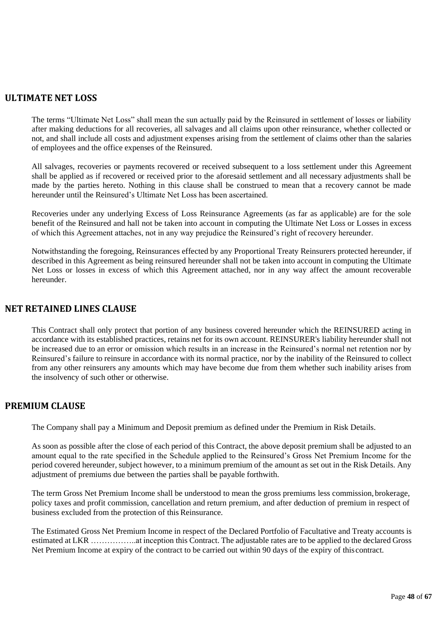# **ULTIMATE NET LOSS**

The terms "Ultimate Net Loss" shall mean the sun actually paid by the Reinsured in settlement of losses or liability after making deductions for all recoveries, all salvages and all claims upon other reinsurance, whether collected or not, and shall include all costs and adjustment expenses arising from the settlement of claims other than the salaries of employees and the office expenses of the Reinsured.

All salvages, recoveries or payments recovered or received subsequent to a loss settlement under this Agreement shall be applied as if recovered or received prior to the aforesaid settlement and all necessary adjustments shall be made by the parties hereto. Nothing in this clause shall be construed to mean that a recovery cannot be made hereunder until the Reinsured's Ultimate Net Loss has been ascertained.

Recoveries under any underlying Excess of Loss Reinsurance Agreements (as far as applicable) are for the sole benefit of the Reinsured and hall not be taken into account in computing the Ultimate Net Loss or Losses in excess of which this Agreement attaches, not in any way prejudice the Reinsured's right of recovery hereunder.

Notwithstanding the foregoing, Reinsurances effected by any Proportional Treaty Reinsurers protected hereunder, if described in this Agreement as being reinsured hereunder shall not be taken into account in computing the Ultimate Net Loss or losses in excess of which this Agreement attached, nor in any way affect the amount recoverable hereunder.

# **NET RETAINED LINES CLAUSE**

This Contract shall only protect that portion of any business covered hereunder which the REINSURED acting in accordance with its established practices, retains net for its own account. REINSURER's liability hereunder shall not be increased due to an error or omission which results in an increase in the Reinsured's normal net retention nor by Reinsured's failure to reinsure in accordance with its normal practice, nor by the inability of the Reinsured to collect from any other reinsurers any amounts which may have become due from them whether such inability arises from the insolvency of such other or otherwise.

# **PREMIUM CLAUSE**

The Company shall pay a Minimum and Deposit premium as defined under the Premium in Risk Details.

As soon as possible after the close of each period of this Contract, the above deposit premium shall be adjusted to an amount equal to the rate specified in the Schedule applied to the Reinsured's Gross Net Premium Income for the period covered hereunder, subject however, to a minimum premium of the amount as set out in the Risk Details. Any adjustment of premiums due between the parties shall be payable forthwith.

The term Gross Net Premium Income shall be understood to mean the gross premiums less commission, brokerage, policy taxes and profit commission, cancellation and return premium, and after deduction of premium in respect of business excluded from the protection of this Reinsurance.

The Estimated Gross Net Premium Income in respect of the Declared Portfolio of Facultative and Treaty accounts is estimated at LKR ……………..at inception this Contract. The adjustable rates are to be applied to the declared Gross Net Premium Income at expiry of the contract to be carried out within 90 days of the expiry of this contract.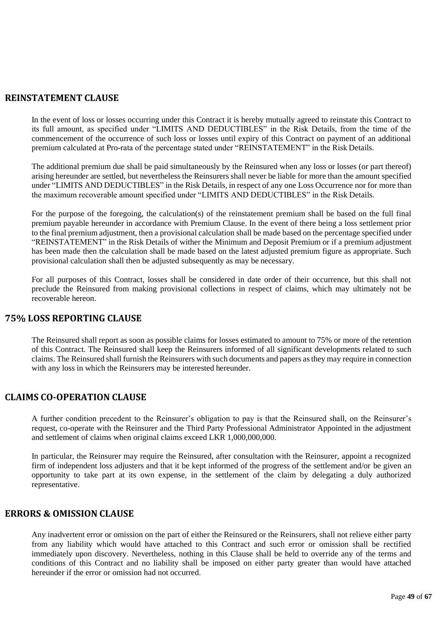# **REINSTATEMENT CLAUSE**

In the event of loss or losses occurring under this Contract it is hereby mutually agreed to reinstate this Contract to its full amount, as specified under "LIMITS AND DEDUCTIBLES" in the Risk Details, from the time of the commencement of the occurrence of such loss or losses until expiry of this Contract on payment of an additional premium calculated at Pro-rata of the percentage stated under "REINSTATEMENT" in the Risk Details.

The additional premium due shall be paid simultaneously by the Reinsured when any loss or losses (or part thereof) arising hereunder are settled, but nevertheless the Reinsurers shall never be liable for more than the amount specified under "LIMITS AND DEDUCTIBLES" in the Risk Details, in respect of any one Loss Occurrence nor for more than the maximum recoverable amount specified under "LIMITS AND DEDUCTIBLES" in the Risk Details.

For the purpose of the foregoing, the calculation(s) of the reinstatement premium shall be based on the full final premium payable hereunder in accordance with Premium Clause. In the event of there being a loss settlement prior to the final premium adjustment, then a provisional calculation shall be made based on the percentage specified under "REINSTATEMENT" in the Risk Details of wither the Minimum and Deposit Premium or if a premium adjustment has been made then the calculation shall be made based on the latest adjusted premium figure as appropriate. Such provisional calculation shall then be adjusted subsequently as may be necessary.

For all purposes of this Contract, losses shall be considered in date order of their occurrence, but this shall not preclude the Reinsured from making provisional collections in respect of claims, which may ultimately not be recoverable hereon.

# **75% LOSS REPORTING CLAUSE**

The Reinsured shall report as soon as possible claims for losses estimated to amount to 75% or more of the retention of this Contract. The Reinsured shall keep the Reinsurers informed of all significant developments related to such claims. The Reinsured shall furnish the Reinsurers with such documents and papers asthey may require in connection with any loss in which the Reinsurers may be interested hereunder.

# **CLAIMS CO-OPERATION CLAUSE**

A further condition precedent to the Reinsurer's obligation to pay is that the Reinsured shall, on the Reinsurer's request, co-operate with the Reinsurer and the Third Party Professional Administrator Appointed in the adjustment and settlement of claims when original claims exceed LKR 1,000,000,000.

In particular, the Reinsurer may require the Reinsured, after consultation with the Reinsurer, appoint a recognized firm of independent loss adjusters and that it be kept informed of the progress of the settlement and/or be given an opportunity to take part at its own expense, in the settlement of the claim by delegating a duly authorized representative.

# **ERRORS & OMISSION CLAUSE**

Any inadvertent error or omission on the part of either the Reinsured or the Reinsurers, shall not relieve either party from any liability which would have attached to this Contract and such error or omission shall be rectified immediately upon discovery. Nevertheless, nothing in this Clause shall be held to override any of the terms and conditions of this Contract and no liability shall be imposed on either party greater than would have attached hereunder if the error or omission had not occurred.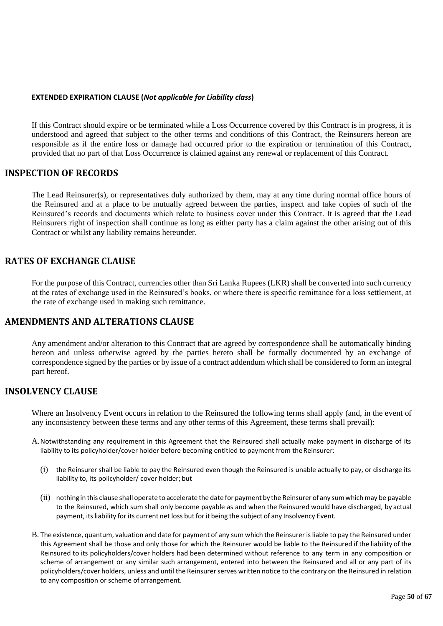#### **EXTENDED EXPIRATION CLAUSE (***Not applicable for Liability class***)**

If this Contract should expire or be terminated while a Loss Occurrence covered by this Contract is in progress, it is understood and agreed that subject to the other terms and conditions of this Contract, the Reinsurers hereon are responsible as if the entire loss or damage had occurred prior to the expiration or termination of this Contract, provided that no part of that Loss Occurrence is claimed against any renewal or replacement of this Contract.

# **INSPECTION OF RECORDS**

The Lead Reinsurer(s), or representatives duly authorized by them, may at any time during normal office hours of the Reinsured and at a place to be mutually agreed between the parties, inspect and take copies of such of the Reinsured's records and documents which relate to business cover under this Contract. It is agreed that the Lead Reinsurers right of inspection shall continue as long as either party has a claim against the other arising out of this Contract or whilst any liability remains hereunder.

# **RATES OF EXCHANGE CLAUSE**

For the purpose of this Contract, currencies other than Sri Lanka Rupees (LKR) shall be converted into such currency at the rates of exchange used in the Reinsured's books, or where there is specific remittance for a loss settlement, at the rate of exchange used in making such remittance.

# **AMENDMENTS AND ALTERATIONS CLAUSE**

Any amendment and/or alteration to this Contract that are agreed by correspondence shall be automatically binding hereon and unless otherwise agreed by the parties hereto shall be formally documented by an exchange of correspondence signed by the parties or by issue of a contract addendum which shall be considered to form an integral part hereof.

# **INSOLVENCY CLAUSE**

Where an Insolvency Event occurs in relation to the Reinsured the following terms shall apply (and, in the event of any inconsistency between these terms and any other terms of this Agreement, these terms shall prevail):

- A.Notwithstanding any requirement in this Agreement that the Reinsured shall actually make payment in discharge of its liability to its policyholder/cover holder before becoming entitled to payment from the Reinsurer:
	- (i) the Reinsurer shall be liable to pay the Reinsured even though the Reinsured is unable actually to pay, or discharge its liability to, its policyholder/ cover holder; but
	- (ii) nothing in this clause shall operate to accelerate the date for payment by the Reinsurer ofany sumwhichmay be payable to the Reinsured, which sum shall only become payable as and when the Reinsured would have discharged, by actual payment, its liability for its current net loss but for it being the subject of any Insolvency Event.
- B. The existence, quantum, valuation and date for payment of any sum which the Reinsurer is liable to pay the Reinsured under this Agreement shall be those and only those for which the Reinsurer would be liable to the Reinsured if the liability of the Reinsured to its policyholders/cover holders had been determined without reference to any term in any composition or scheme of arrangement or any similar such arrangement, entered into between the Reinsured and all or any part of its policyholders/cover holders, unless and until the Reinsurer serves written notice to the contrary on the Reinsured in relation to any composition or scheme of arrangement.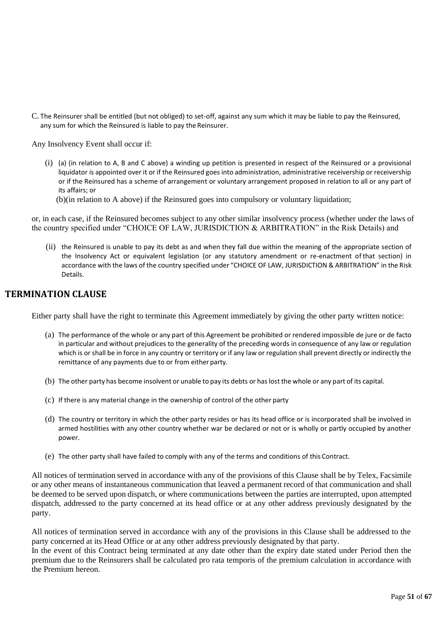C. The Reinsurer shall be entitled (but not obliged) to set-off, against any sum which it may be liable to pay the Reinsured, any sum for which the Reinsured is liable to pay the Reinsurer.

Any Insolvency Event shall occur if:

- (i) (a) (in relation to A, B and C above) a winding up petition is presented in respect of the Reinsured or a provisional liquidator is appointed over it or if the Reinsured goes into administration, administrative receivership or receivership or if the Reinsured has a scheme of arrangement or voluntary arrangement proposed in relation to all or any part of its affairs; or
	- (b)(in relation to A above) if the Reinsured goes into compulsory or voluntary liquidation;

or, in each case, if the Reinsured becomes subject to any other similar insolvency process (whether under the laws of the country specified under "CHOICE OF LAW, JURISDICTION & ARBITRATION" in the Risk Details) and

(ii) the Reinsured is unable to pay its debt as and when they fall due within the meaning of the appropriate section of the Insolvency Act or equivalent legislation (or any statutory amendment or re-enactment of that section) in accordance with the laws of the country specified under "CHOICE OF LAW, JURISDICTION & ARBITRATION" in the Risk Details.

# **TERMINATION CLAUSE**

Either party shall have the right to terminate this Agreement immediately by giving the other party written notice:

- (a) The performance of the whole or any part of this Agreement be prohibited or rendered impossible de jure or de facto in particular and without prejudices to the generality of the preceding words in consequence of any law or regulation which is or shall be in force in any country or territory or if any law or regulation shall prevent directly or indirectly the remittance of any payments due to or from either party.
- (b) The other party has become insolvent or unable to pay its debts or haslost the whole or any part of its capital.
- (c) If there is any material change in the ownership of control of the other party
- (d) The country or territory in which the other party resides or has its head office or is incorporated shall be involved in armed hostilities with any other country whether war be declared or not or is wholly or partly occupied by another power.
- (e) The other party shall have failed to comply with any of the terms and conditions of this Contract.

All notices of termination served in accordance with any of the provisions of this Clause shall be by Telex, Facsimile or any other means of instantaneous communication that leaved a permanent record of that communication and shall be deemed to be served upon dispatch, or where communications between the parties are interrupted, upon attempted dispatch, addressed to the party concerned at its head office or at any other address previously designated by the party.

All notices of termination served in accordance with any of the provisions in this Clause shall be addressed to the party concerned at its Head Office or at any other address previously designated by that party.

In the event of this Contract being terminated at any date other than the expiry date stated under Period then the premium due to the Reinsurers shall be calculated pro rata temporis of the premium calculation in accordance with the Premium hereon.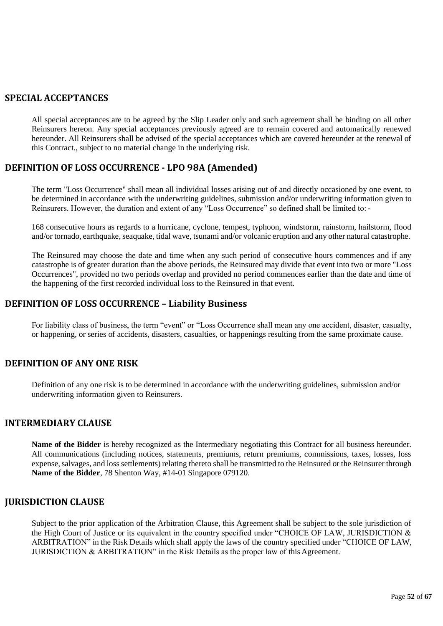# **SPECIAL ACCEPTANCES**

All special acceptances are to be agreed by the Slip Leader only and such agreement shall be binding on all other Reinsurers hereon. Any special acceptances previously agreed are to remain covered and automatically renewed hereunder. All Reinsurers shall be advised of the special acceptances which are covered hereunder at the renewal of this Contract., subject to no material change in the underlying risk.

# **DEFINITION OF LOSS OCCURRENCE - LPO 98A (Amended)**

The term "Loss Occurrence" shall mean all individual losses arising out of and directly occasioned by one event, to be determined in accordance with the underwriting guidelines, submission and/or underwriting information given to Reinsurers. However, the duration and extent of any "Loss Occurrence" so defined shall be limited to: -

168 consecutive hours as regards to a hurricane, cyclone, tempest, typhoon, windstorm, rainstorm, hailstorm, flood and/or tornado, earthquake, seaquake, tidal wave, tsunami and/or volcanic eruption and any other natural catastrophe.

The Reinsured may choose the date and time when any such period of consecutive hours commences and if any catastrophe is of greater duration than the above periods, the Reinsured may divide that event into two or more "Loss Occurrences", provided no two periods overlap and provided no period commences earlier than the date and time of the happening of the first recorded individual loss to the Reinsured in that event.

# **DEFINITION OF LOSS OCCURRENCE – Liability Business**

For liability class of business, the term "event" or "Loss Occurrence shall mean any one accident, disaster, casualty, or happening, or series of accidents, disasters, casualties, or happenings resulting from the same proximate cause.

# **DEFINITION OF ANY ONE RISK**

Definition of any one risk is to be determined in accordance with the underwriting guidelines, submission and/or underwriting information given to Reinsurers.

# **INTERMEDIARY CLAUSE**

**Name of the Bidder** is hereby recognized as the Intermediary negotiating this Contract for all business hereunder. All communications (including notices, statements, premiums, return premiums, commissions, taxes, losses, loss expense, salvages, and loss settlements) relating thereto shall be transmitted to the Reinsured or the Reinsurer through **Name of the Bidder**, 78 Shenton Way, #14-01 Singapore 079120.

# **JURISDICTION CLAUSE**

Subject to the prior application of the Arbitration Clause, this Agreement shall be subject to the sole jurisdiction of the High Court of Justice or its equivalent in the country specified under "CHOICE OF LAW, JURISDICTION & ARBITRATION" in the Risk Details which shall apply the laws of the country specified under "CHOICE OF LAW, JURISDICTION & ARBITRATION" in the Risk Details as the proper law of this Agreement.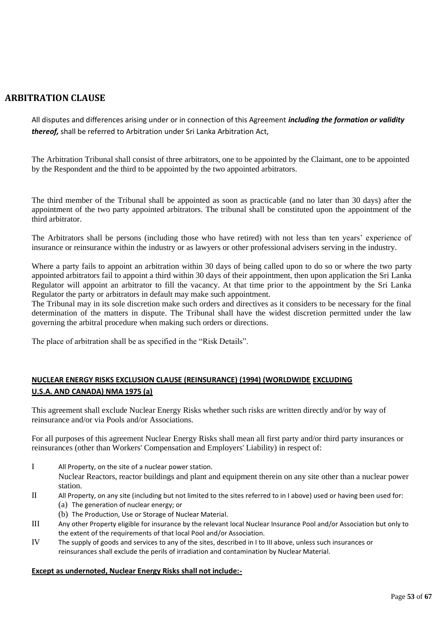# **ARBITRATION CLAUSE**

All disputes and differences arising under or in connection of this Agreement *including the formation or validity thereof,* shall be referred to Arbitration under Sri Lanka Arbitration Act,

The Arbitration Tribunal shall consist of three arbitrators, one to be appointed by the Claimant, one to be appointed by the Respondent and the third to be appointed by the two appointed arbitrators.

The third member of the Tribunal shall be appointed as soon as practicable (and no later than 30 days) after the appointment of the two party appointed arbitrators. The tribunal shall be constituted upon the appointment of the third arbitrator.

The Arbitrators shall be persons (including those who have retired) with not less than ten years' experience of insurance or reinsurance within the industry or as lawyers or other professional advisers serving in the industry.

Where a party fails to appoint an arbitration within 30 days of being called upon to do so or where the two party appointed arbitrators fail to appoint a third within 30 days of their appointment, then upon application the Sri Lanka Regulator will appoint an arbitrator to fill the vacancy. At that time prior to the appointment by the Sri Lanka Regulator the party or arbitrators in default may make such appointment.

The Tribunal may in its sole discretion make such orders and directives as it considers to be necessary for the final determination of the matters in dispute. The Tribunal shall have the widest discretion permitted under the law governing the arbitral procedure when making such orders or directions.

The place of arbitration shall be as specified in the "Risk Details".

# **NUCLEAR ENERGY RISKS EXCLUSION CLAUSE (REINSURANCE) (1994) (WORLDWIDE EXCLUDING U.S.A. AND CANADA) NMA 1975 (a)**

This agreement shall exclude Nuclear Energy Risks whether such risks are written directly and/or by way of reinsurance and/or via Pools and/or Associations.

For all purposes of this agreement Nuclear Energy Risks shall mean all first party and/or third party insurances or reinsurances (other than Workers' Compensation and Employers' Liability) in respect of:

I All Property, on the site of a nuclear power station.

Nuclear Reactors, reactor buildings and plant and equipment therein on any site other than a nuclear power station.

- II All Property, on any site (including but not limited to the sites referred to in I above) used or having been used for: (a) The generation of nuclear energy; or
	- (b) The Production, Use or Storage of Nuclear Material.
- III Any other Property eligible for insurance by the relevant local Nuclear Insurance Pool and/or Association but only to the extent of the requirements of that local Pool and/or Association.
- IV The supply of goods and services to any of the sites, described in I to III above, unless such insurances or reinsurances shall exclude the perils of irradiation and contamination by Nuclear Material.

### **Except as undernoted, Nuclear Energy Risks shall not include:-**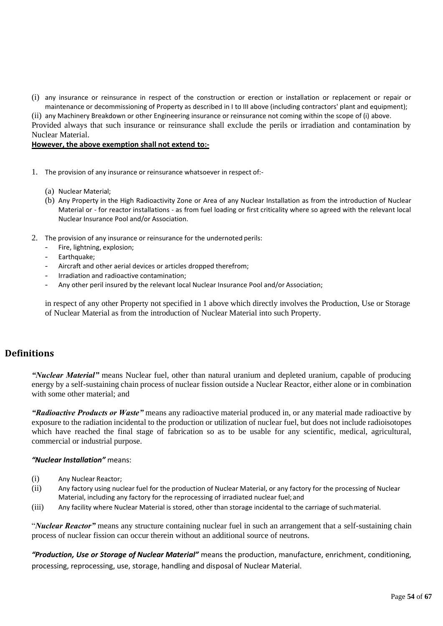(i) any insurance or reinsurance in respect of the construction or erection or installation or replacement or repair or maintenance or decommissioning of Property as described in I to III above (including contractors' plant and equipment);

(ii) any Machinery Breakdown or other Engineering insurance or reinsurance not coming within the scope of (i) above. Provided always that such insurance or reinsurance shall exclude the perils or irradiation and contamination by Nuclear Material.

#### **However, the above exemption shall not extend to:-**

- 1. The provision of any insurance or reinsurance whatsoever in respect of:-
	- (a) Nuclear Material;
	- (b) Any Property in the High Radioactivity Zone or Area of any Nuclear Installation as from the introduction of Nuclear Material or - for reactor installations - as from fuel loading or first criticality where so agreed with the relevant local Nuclear Insurance Pool and/or Association.
- 2. The provision of any insurance or reinsurance for the undernoted perils:
	- Fire, lightning, explosion;
	- Earthquake;
	- Aircraft and other aerial devices or articles dropped therefrom;
	- Irradiation and radioactive contamination;
	- Any other peril insured by the relevant local Nuclear Insurance Pool and/or Association;

in respect of any other Property not specified in 1 above which directly involves the Production, Use or Storage of Nuclear Material as from the introduction of Nuclear Material into such Property.

# **Definitions**

*"Nuclear Material"* means Nuclear fuel, other than natural uranium and depleted uranium, capable of producing energy by a self-sustaining chain process of nuclear fission outside a Nuclear Reactor, either alone or in combination with some other material; and

*"Radioactive Products or Waste"* means any radioactive material produced in, or any material made radioactive by exposure to the radiation incidental to the production or utilization of nuclear fuel, but does not include radioisotopes which have reached the final stage of fabrication so as to be usable for any scientific, medical, agricultural, commercial or industrial purpose.

### *"Nuclear Installation"* means:

- (i) Any Nuclear Reactor;
- (ii) Any factory using nuclear fuel for the production of Nuclear Material, or any factory for the processing of Nuclear Material, including any factory for the reprocessing of irradiated nuclear fuel; and
- (iii) Any facility where Nuclear Material is stored, other than storage incidental to the carriage of suchmaterial.

"*Nuclear Reactor"* means any structure containing nuclear fuel in such an arrangement that a self-sustaining chain process of nuclear fission can occur therein without an additional source of neutrons.

*"Production, Use or Storage of Nuclear Material"* means the production, manufacture, enrichment, conditioning, processing, reprocessing, use, storage, handling and disposal of Nuclear Material.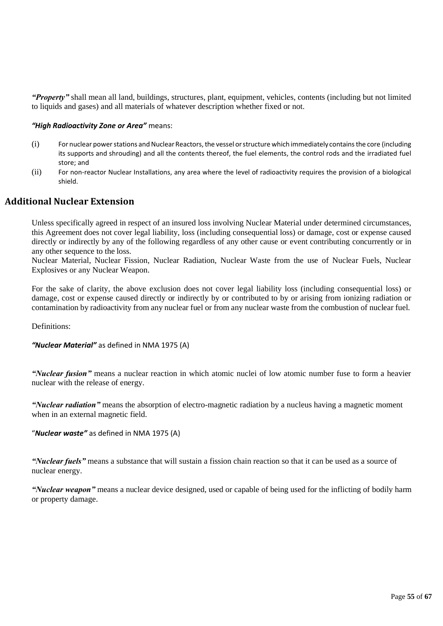*"Property"* shall mean all land, buildings, structures, plant, equipment, vehicles, contents (including but not limited to liquids and gases) and all materials of whatever description whether fixed or not.

### *"High Radioactivity Zone or Area"* means:

- $(i)$  For nuclear power stations and Nuclear Reactors, the vessel or structure which immediately contains the core (including its supports and shrouding) and all the contents thereof, the fuel elements, the control rods and the irradiated fuel store; and
- (ii) For non-reactor Nuclear Installations, any area where the level of radioactivity requires the provision of a biological shield.

# **Additional Nuclear Extension**

Unless specifically agreed in respect of an insured loss involving Nuclear Material under determined circumstances, this Agreement does not cover legal liability, loss (including consequential loss) or damage, cost or expense caused directly or indirectly by any of the following regardless of any other cause or event contributing concurrently or in any other sequence to the loss.

Nuclear Material, Nuclear Fission, Nuclear Radiation, Nuclear Waste from the use of Nuclear Fuels, Nuclear Explosives or any Nuclear Weapon.

For the sake of clarity, the above exclusion does not cover legal liability loss (including consequential loss) or damage, cost or expense caused directly or indirectly by or contributed to by or arising from ionizing radiation or contamination by radioactivity from any nuclear fuel or from any nuclear waste from the combustion of nuclear fuel.

Definitions:

```
"Nuclear Material" as defined in NMA 1975 (A)
```
*"Nuclear fusion"* means a nuclear reaction in which atomic nuclei of low atomic number fuse to form a heavier nuclear with the release of energy.

*"Nuclear radiation"* means the absorption of electro-magnetic radiation by a nucleus having a magnetic moment when in an external magnetic field.

### "*Nuclear waste"* as defined in NMA 1975 (A)

*"Nuclear fuels"* means a substance that will sustain a fission chain reaction so that it can be used as a source of nuclear energy.

*"Nuclear weapon"* means a nuclear device designed, used or capable of being used for the inflicting of bodily harm or property damage.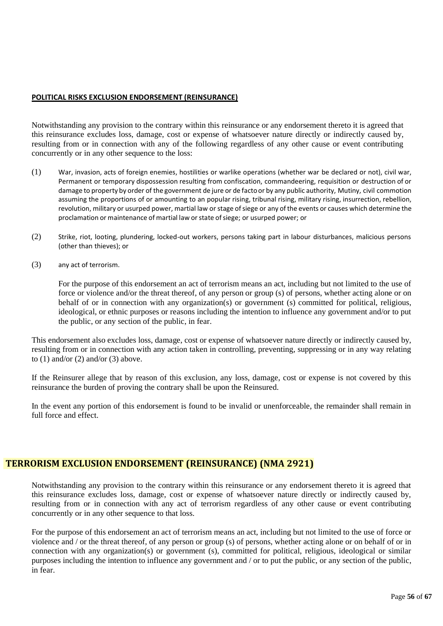### **POLITICAL RISKS EXCLUSION ENDORSEMENT (REINSURANCE)**

Notwithstanding any provision to the contrary within this reinsurance or any endorsement thereto it is agreed that this reinsurance excludes loss, damage, cost or expense of whatsoever nature directly or indirectly caused by, resulting from or in connection with any of the following regardless of any other cause or event contributing concurrently or in any other sequence to the loss:

- (1) War, invasion, acts of foreign enemies, hostilities or warlike operations (whether war be declared or not), civil war, Permanent or temporary dispossession resulting from confiscation, commandeering, requisition or destruction of or damage to property by order of the government de jure or de factoor by any public authority, Mutiny, civil commotion assuming the proportions of or amounting to an popular rising, tribunal rising, military rising, insurrection, rebellion, revolution, military or usurped power, martial law or stage ofsiege or any of the events or causes which determine the proclamation or maintenance of martial law orstate ofsiege; or usurped power; or
- (2) Strike, riot, looting, plundering, locked-out workers, persons taking part in labour disturbances, malicious persons (other than thieves); or
- (3) any act of terrorism.

For the purpose of this endorsement an act of terrorism means an act, including but not limited to the use of force or violence and/or the threat thereof, of any person or group (s) of persons, whether acting alone or on behalf of or in connection with any organization(s) or government (s) committed for political, religious, ideological, or ethnic purposes or reasons including the intention to influence any government and/or to put the public, or any section of the public, in fear.

This endorsement also excludes loss, damage, cost or expense of whatsoever nature directly or indirectly caused by, resulting from or in connection with any action taken in controlling, preventing, suppressing or in any way relating to  $(1)$  and/or  $(2)$  and/or  $(3)$  above.

If the Reinsurer allege that by reason of this exclusion, any loss, damage, cost or expense is not covered by this reinsurance the burden of proving the contrary shall be upon the Reinsured.

In the event any portion of this endorsement is found to be invalid or unenforceable, the remainder shall remain in full force and effect.

# **TERRORISM EXCLUSION ENDORSEMENT (REINSURANCE) (NMA 2921)**

Notwithstanding any provision to the contrary within this reinsurance or any endorsement thereto it is agreed that this reinsurance excludes loss, damage, cost or expense of whatsoever nature directly or indirectly caused by, resulting from or in connection with any act of terrorism regardless of any other cause or event contributing concurrently or in any other sequence to that loss.

For the purpose of this endorsement an act of terrorism means an act, including but not limited to the use of force or violence and / or the threat thereof, of any person or group (s) of persons, whether acting alone or on behalf of or in connection with any organization(s) or government (s), committed for political, religious, ideological or similar purposes including the intention to influence any government and / or to put the public, or any section of the public, in fear.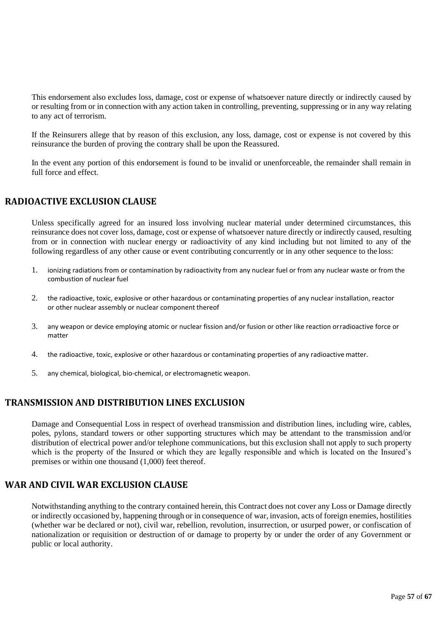This endorsement also excludes loss, damage, cost or expense of whatsoever nature directly or indirectly caused by or resulting from or in connection with any action taken in controlling, preventing, suppressing or in any way relating to any act of terrorism.

If the Reinsurers allege that by reason of this exclusion, any loss, damage, cost or expense is not covered by this reinsurance the burden of proving the contrary shall be upon the Reassured.

In the event any portion of this endorsement is found to be invalid or unenforceable, the remainder shall remain in full force and effect.

# **RADIOACTIVE EXCLUSION CLAUSE**

Unless specifically agreed for an insured loss involving nuclear material under determined circumstances, this reinsurance does not cover loss, damage, cost or expense of whatsoever nature directly or indirectly caused, resulting from or in connection with nuclear energy or radioactivity of any kind including but not limited to any of the following regardless of any other cause or event contributing concurrently or in any other sequence to the loss:

- 1. ionizing radiations from or contamination by radioactivity from any nuclear fuel or from any nuclear waste or from the combustion of nuclear fuel
- 2. the radioactive, toxic, explosive or other hazardous or contaminating properties of any nuclear installation, reactor or other nuclear assembly or nuclear component thereof
- 3. any weapon or device employing atomic or nuclear fission and/or fusion or other like reaction orradioactive force or matter
- 4. the radioactive, toxic, explosive or other hazardous or contaminating properties of any radioactivematter.
- 5. any chemical, biological, bio-chemical, or electromagnetic weapon.

# **TRANSMISSION AND DISTRIBUTION LINES EXCLUSION**

Damage and Consequential Loss in respect of overhead transmission and distribution lines, including wire, cables, poles, pylons, standard towers or other supporting structures which may be attendant to the transmission and/or distribution of electrical power and/or telephone communications, but this exclusion shall not apply to such property which is the property of the Insured or which they are legally responsible and which is located on the Insured's premises or within one thousand (1,000) feet thereof.

# **WAR AND CIVIL WAR EXCLUSION CLAUSE**

Notwithstanding anything to the contrary contained herein, this Contract does not cover any Loss or Damage directly or indirectly occasioned by, happening through or in consequence of war, invasion, acts of foreign enemies, hostilities (whether war be declared or not), civil war, rebellion, revolution, insurrection, or usurped power, or confiscation of nationalization or requisition or destruction of or damage to property by or under the order of any Government or public or local authority.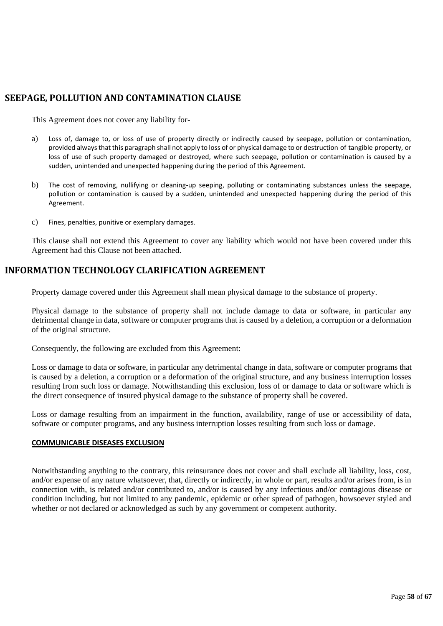# **SEEPAGE, POLLUTION AND CONTAMINATION CLAUSE**

This Agreement does not cover any liability for-

- a) Loss of, damage to, or loss of use of property directly or indirectly caused by seepage, pollution or contamination, provided alwaysthat this paragraph shall not apply to loss of or physical damage to or destruction of tangible property, or loss of use of such property damaged or destroyed, where such seepage, pollution or contamination is caused by a sudden, unintended and unexpected happening during the period of this Agreement.
- b) The cost of removing, nullifying or cleaning-up seeping, polluting or contaminating substances unless the seepage, pollution or contamination is caused by a sudden, unintended and unexpected happening during the period of this Agreement.
- c) Fines, penalties, punitive or exemplary damages.

This clause shall not extend this Agreement to cover any liability which would not have been covered under this Agreement had this Clause not been attached.

# **INFORMATION TECHNOLOGY CLARIFICATION AGREEMENT**

Property damage covered under this Agreement shall mean physical damage to the substance of property.

Physical damage to the substance of property shall not include damage to data or software, in particular any detrimental change in data, software or computer programs that is caused by a deletion, a corruption or a deformation of the original structure.

Consequently, the following are excluded from this Agreement:

Loss or damage to data or software, in particular any detrimental change in data, software or computer programs that is caused by a deletion, a corruption or a deformation of the original structure, and any business interruption losses resulting from such loss or damage. Notwithstanding this exclusion, loss of or damage to data or software which is the direct consequence of insured physical damage to the substance of property shall be covered.

Loss or damage resulting from an impairment in the function, availability, range of use or accessibility of data, software or computer programs, and any business interruption losses resulting from such loss or damage.

# **COMMUNICABLE DISEASES EXCLUSION**

Notwithstanding anything to the contrary, this reinsurance does not cover and shall exclude all liability, loss, cost, and/or expense of any nature whatsoever, that, directly or indirectly, in whole or part, results and/or arises from, is in connection with, is related and/or contributed to, and/or is caused by any infectious and/or contagious disease or condition including, but not limited to any pandemic, epidemic or other spread of pathogen, howsoever styled and whether or not declared or acknowledged as such by any government or competent authority.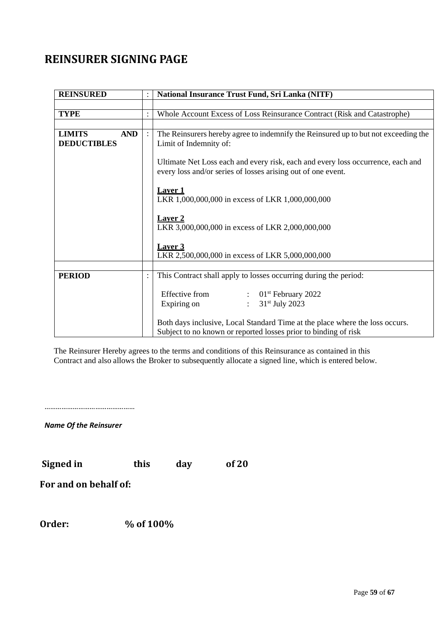# **REINSURER SIGNING PAGE**

| <b>REINSURED</b>                                  | National Insurance Trust Fund, Sri Lanka (NITF)                                                                                                 |  |  |  |
|---------------------------------------------------|-------------------------------------------------------------------------------------------------------------------------------------------------|--|--|--|
|                                                   |                                                                                                                                                 |  |  |  |
| <b>TYPE</b>                                       | Whole Account Excess of Loss Reinsurance Contract (Risk and Catastrophe)                                                                        |  |  |  |
|                                                   |                                                                                                                                                 |  |  |  |
| <b>LIMITS</b><br><b>AND</b><br><b>DEDUCTIBLES</b> | The Reinsurers hereby agree to indemnify the Reinsured up to but not exceeding the<br>Limit of Indemnity of:                                    |  |  |  |
|                                                   | Ultimate Net Loss each and every risk, each and every loss occurrence, each and<br>every loss and/or series of losses arising out of one event. |  |  |  |
|                                                   | <b>Laver 1</b><br>LKR 1,000,000,000 in excess of LKR 1,000,000,000                                                                              |  |  |  |
|                                                   | <b>Laver 2</b><br>LKR 3,000,000,000 in excess of LKR 2,000,000,000                                                                              |  |  |  |
|                                                   | Laver <sub>3</sub><br>LKR 2,500,000,000 in excess of LKR 5,000,000,000                                                                          |  |  |  |
|                                                   |                                                                                                                                                 |  |  |  |
| <b>PERIOD</b>                                     | This Contract shall apply to losses occurring during the period:                                                                                |  |  |  |
|                                                   | Effective from<br>$01st$ February 2022<br>$\therefore$<br>31 <sup>st</sup> July 2023<br>Expiring on                                             |  |  |  |
|                                                   | Both days inclusive, Local Standard Time at the place where the loss occurs.<br>Subject to no known or reported losses prior to binding of risk |  |  |  |

The Reinsurer Hereby agrees to the terms and conditions of this Reinsurance as contained in this Contract and also allows the Broker to subsequently allocate a signed line, which is entered below.

…………………………………………

*Name Of the Reinsurer*

 **Signed in this day of 20**

 **For and on behalf of:**

 **Order: % of 100%**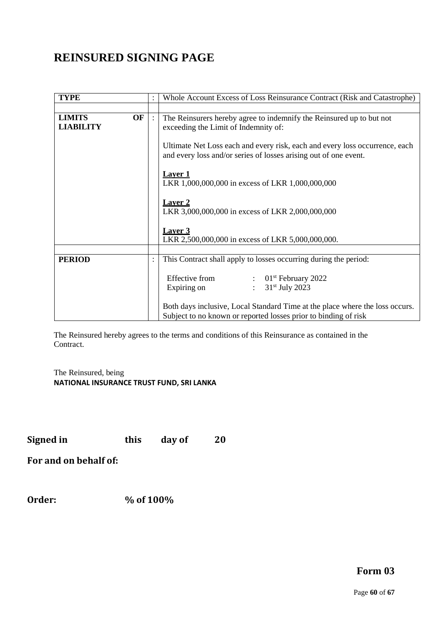# **REINSURED SIGNING PAGE**

| <b>TYPE</b>                             | :              | Whole Account Excess of Loss Reinsurance Contract (Risk and Catastrophe)                                                                                                                          |  |  |
|-----------------------------------------|----------------|---------------------------------------------------------------------------------------------------------------------------------------------------------------------------------------------------|--|--|
|                                         |                |                                                                                                                                                                                                   |  |  |
| OF<br><b>LIMITS</b><br><b>LIABILITY</b> |                | The Reinsurers hereby agree to indemnify the Reinsured up to but not<br>exceeding the Limit of Indemnity of:                                                                                      |  |  |
|                                         |                | Ultimate Net Loss each and every risk, each and every loss occurrence, each<br>and every loss and/or series of losses arising out of one event.                                                   |  |  |
|                                         |                | <b>Laver 1</b><br>LKR 1,000,000,000 in excess of LKR 1,000,000,000                                                                                                                                |  |  |
|                                         |                | <b>Laver 2</b><br>LKR 3,000,000,000 in excess of LKR 2,000,000,000                                                                                                                                |  |  |
|                                         |                | <b>Laver 3</b><br>LKR 2,500,000,000 in excess of LKR 5,000,000,000.                                                                                                                               |  |  |
|                                         |                |                                                                                                                                                                                                   |  |  |
| <b>PERIOD</b>                           | $\ddot{\cdot}$ | This Contract shall apply to losses occurring during the period:                                                                                                                                  |  |  |
|                                         |                | Effective from<br>$\therefore$ 01 <sup>st</sup> February 2022<br>$31st$ July 2023<br>Expiring on<br>$\mathcal{L}$<br>Both days inclusive, Local Standard Time at the place where the loss occurs. |  |  |
|                                         |                | Subject to no known or reported losses prior to binding of risk                                                                                                                                   |  |  |

The Reinsured hereby agrees to the terms and conditions of this Reinsurance as contained in the Contract.

The Reinsured, being **NATIONAL INSURANCE TRUST FUND, SRI LANKA**

**Signed in this day of 20**

**For and on behalf of:**

**Order: % of 100%**

# **Form 03**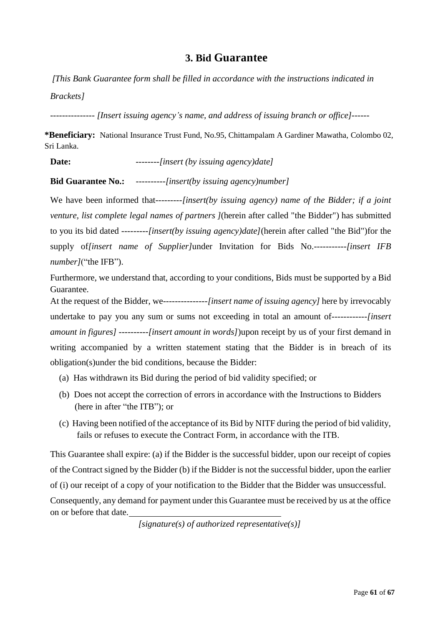# **3. Bid Guarantee**

*[This Bank Guarantee form shall be filled in accordance with the instructions indicated in Brackets]*

*--------------- [Insert issuing agency's name, and address of issuing branch or office]------*

**\*Beneficiary:** National Insurance Trust Fund, No.95, Chittampalam A Gardiner Mawatha, Colombo 02, Sri Lanka.

**Date:** --------*[insert (by issuing agency)date]*

**Bid Guarantee No.:** ----------*[insert(by issuing agency)number]*

We have been informed that---------*[insert(by issuing agency) name of the Bidder; if a joint venture, list complete legal names of partners ]*(herein after called "the Bidder") has submitted to you its bid dated ---------*[insert(by issuing agency)date]*(herein after called "the Bid")for the supply of*[insert name of Supplier]*under Invitation for Bids No.-----------*[insert IFB number]*("the IFB").

Furthermore, we understand that, according to your conditions, Bids must be supported by a Bid Guarantee.

At the request of the Bidder, we---------------*[insert name of issuing agency]* here by irrevocably undertake to pay you any sum or sums not exceeding in total an amount of------------*[insert amount in figures]* ----------*[insert amount in words]*)upon receipt by us of your first demand in writing accompanied by a written statement stating that the Bidder is in breach of its obligation(s)under the bid conditions, because the Bidder:

- (a) Has withdrawn its Bid during the period of bid validity specified; or
- (b) Does not accept the correction of errors in accordance with the Instructions to Bidders (here in after "the ITB"); or
- (c) Having been notified of the acceptance of its Bid by NITF during the period of bid validity, fails or refuses to execute the Contract Form, in accordance with the ITB.

This Guarantee shall expire: (a) if the Bidder is the successful bidder, upon our receipt of copies of the Contract signed by the Bidder (b) if the Bidder is not the successful bidder, upon the earlier of (i) our receipt of a copy of your notification to the Bidder that the Bidder was unsuccessful.

Consequently, any demand for payment under this Guarantee must be received by us at the office on or before that date.

*[signature(s) of authorized representative(s)]*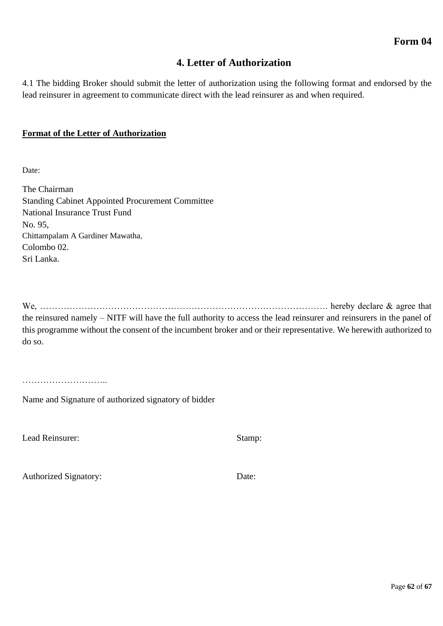# **4. Letter of Authorization**

4.1 The bidding Broker should submit the letter of authorization using the following format and endorsed by the lead reinsurer in agreement to communicate direct with the lead reinsurer as and when required.

# **Format of the Letter of Authorization**

Date:

The Chairman Standing Cabinet Appointed Procurement Committee National Insurance Trust Fund No. 95, Chittampalam A Gardiner Mawatha, Colombo 02. Sri Lanka.

We, ……………………………………………………………………………………. hereby declare & agree that the reinsured namely – NITF will have the full authority to access the lead reinsurer and reinsurers in the panel of this programme without the consent of the incumbent broker and or their representative. We herewith authorized to do so.

………………………..

Name and Signature of authorized signatory of bidder

Lead Reinsurer: Stamp: Stamp:

Authorized Signatory: Date: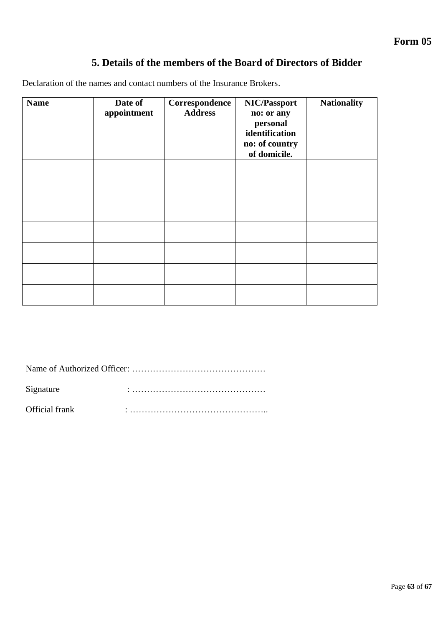# **5. Details of the members of the Board of Directors of Bidder**

Declaration of the names and contact numbers of the Insurance Brokers.

| <b>Name</b> | Date of<br>appointment | Correspondence<br><b>Address</b> | NIC/Passport<br>no: or any<br>personal<br>identification<br>no: of country<br>of domicile. | <b>Nationality</b> |
|-------------|------------------------|----------------------------------|--------------------------------------------------------------------------------------------|--------------------|
|             |                        |                                  |                                                                                            |                    |
|             |                        |                                  |                                                                                            |                    |
|             |                        |                                  |                                                                                            |                    |
|             |                        |                                  |                                                                                            |                    |
|             |                        |                                  |                                                                                            |                    |
|             |                        |                                  |                                                                                            |                    |
|             |                        |                                  |                                                                                            |                    |

|--|--|

Signature : ………………………………………

Official frank  $\vdots$   $\vdots$   $\vdots$   $\vdots$   $\vdots$   $\vdots$   $\vdots$   $\vdots$   $\vdots$   $\vdots$   $\vdots$   $\vdots$   $\vdots$   $\vdots$   $\vdots$   $\vdots$   $\vdots$   $\vdots$   $\vdots$   $\vdots$   $\vdots$   $\vdots$   $\vdots$   $\vdots$   $\vdots$   $\vdots$   $\vdots$   $\vdots$   $\vdots$   $\vdots$   $\vdots$   $\vdots$   $\vdots$   $\vdots$   $\vd$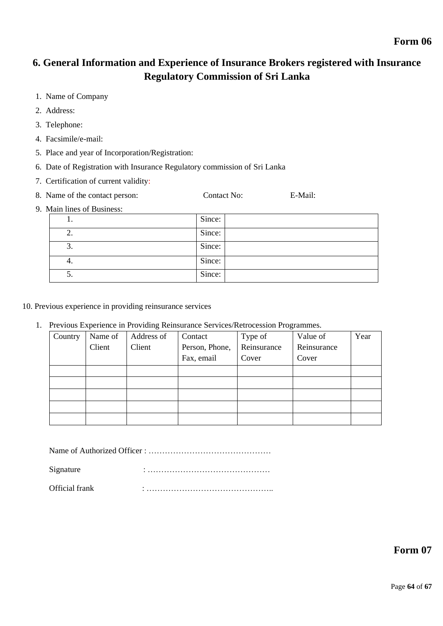# **6. General Information and Experience of Insurance Brokers registered with Insurance Regulatory Commission of Sri Lanka**

- 1. Name of Company
- 2. Address:
- 3. Telephone:
- 4. Facsimile/e-mail:
- 5. Place and year of Incorporation/Registration:
- 6. Date of Registration with Insurance Regulatory commission of Sri Lanka
- 7. Certification of current validity:
- 8. Name of the contact person: Contact No: E-Mail:
- 9. Main lines of Business:

|    | Since: |
|----|--------|
| ۷. | Since: |
| J. | Since: |
| 4. | Since: |
| J. | Since: |

- 10. Previous experience in providing reinsurance services
	- 1. Previous Experience in Providing Reinsurance Services/Retrocession Programmes.

| Country | Name of | Address of | Contact        | Type of     | Value of    | Year |
|---------|---------|------------|----------------|-------------|-------------|------|
|         | Client  | Client     | Person, Phone, | Reinsurance | Reinsurance |      |
|         |         |            | Fax, email     | Cover       | Cover       |      |
|         |         |            |                |             |             |      |
|         |         |            |                |             |             |      |
|         |         |            |                |             |             |      |
|         |         |            |                |             |             |      |
|         |         |            |                |             |             |      |

Name of Authorized Officer : ………………………………………

Signature : ………………………………………

Official frank  $\vdots$   $\vdots$   $\vdots$   $\vdots$   $\vdots$   $\vdots$   $\vdots$   $\vdots$   $\vdots$   $\vdots$   $\vdots$   $\vdots$   $\vdots$   $\vdots$   $\vdots$   $\vdots$   $\vdots$   $\vdots$   $\vdots$   $\vdots$   $\vdots$   $\vdots$   $\vdots$   $\vdots$   $\vdots$   $\vdots$   $\vdots$   $\vdots$   $\vdots$   $\vdots$   $\vdots$   $\vdots$   $\vdots$   $\vdots$   $\vd$ 

**Form 07**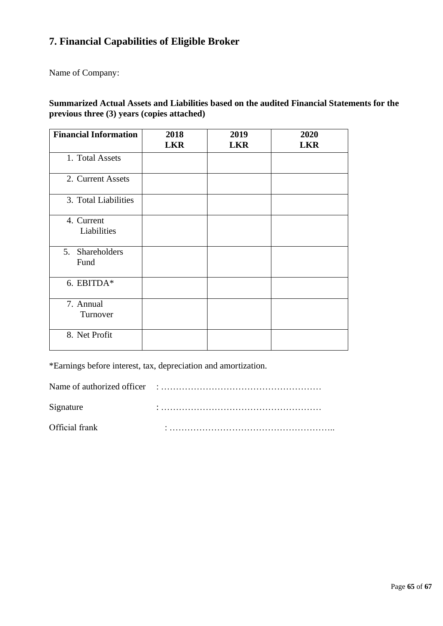# **7. Financial Capabilities of Eligible Broker**

Name of Company:

# **Summarized Actual Assets and Liabilities based on the audited Financial Statements for the previous three (3) years (copies attached)**

| <b>Financial Information</b> | 2018<br><b>LKR</b> | 2019<br><b>LKR</b> | 2020<br><b>LKR</b> |
|------------------------------|--------------------|--------------------|--------------------|
| 1. Total Assets              |                    |                    |                    |
| 2. Current Assets            |                    |                    |                    |
| 3. Total Liabilities         |                    |                    |                    |
| 4. Current<br>Liabilities    |                    |                    |                    |
| 5. Shareholders<br>Fund      |                    |                    |                    |
| 6. EBITDA*                   |                    |                    |                    |
| 7. Annual<br>Turnover        |                    |                    |                    |
| 8. Net Profit                |                    |                    |                    |

\*Earnings before interest, tax, depreciation and amortization.

Name of authorized officer : ……………………………………………… Signature : ……………………………………………… Official frank  $\vdots$   $\vdots$   $\vdots$   $\vdots$   $\vdots$   $\vdots$   $\vdots$   $\vdots$   $\vdots$   $\vdots$   $\vdots$   $\vdots$   $\vdots$   $\vdots$   $\vdots$   $\vdots$   $\vdots$   $\vdots$   $\vdots$   $\vdots$   $\vdots$   $\vdots$   $\vdots$   $\vdots$   $\vdots$   $\vdots$   $\vdots$   $\vdots$   $\vdots$   $\vdots$   $\vdots$   $\vdots$   $\vdots$   $\vdots$   $\vd$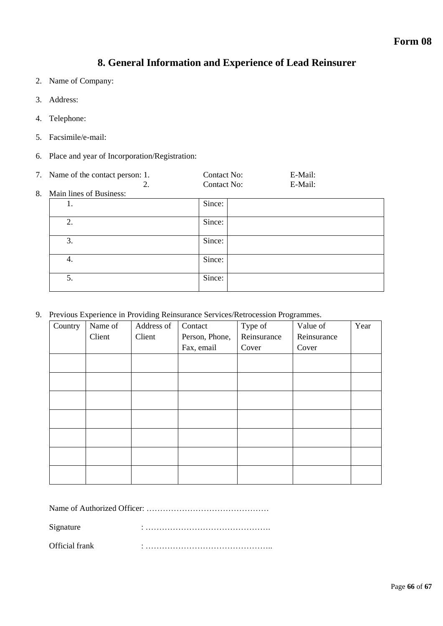# **8. General Information and Experience of Lead Reinsurer**

- 2. Name of Company:
- 3. Address:
- 4. Telephone:
- 5. Facsimile/e-mail:
- 6. Place and year of Incorporation/Registration:

|    | 7. Name of the contact person: 1. | Contact No: | E-Mail: |  |
|----|-----------------------------------|-------------|---------|--|
|    | 2.                                | Contact No: | E-Mail: |  |
| 8. | Main lines of Business:           |             |         |  |
|    | 1.                                | Since:      |         |  |
|    | 2.                                | Since:      |         |  |
|    | 3.                                | Since:      |         |  |
|    | 4.                                | Since:      |         |  |
|    | 5.                                | Since:      |         |  |

9. Previous Experience in Providing Reinsurance Services/Retrocession Programmes.

| Country | Name of | Address of | Contact        | Type of     | Value of    | Year |
|---------|---------|------------|----------------|-------------|-------------|------|
|         | Client  | Client     | Person, Phone, | Reinsurance | Reinsurance |      |
|         |         |            | Fax, email     | Cover       | Cover       |      |
|         |         |            |                |             |             |      |
|         |         |            |                |             |             |      |
|         |         |            |                |             |             |      |
|         |         |            |                |             |             |      |
|         |         |            |                |             |             |      |
|         |         |            |                |             |             |      |
|         |         |            |                |             |             |      |
|         |         |            |                |             |             |      |
|         |         |            |                |             |             |      |

Name of Authorized Officer: ………………………………………

Signature : ……………………………………….

Official frank : ………………………………………..